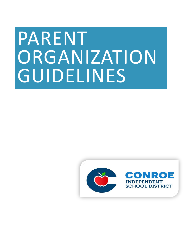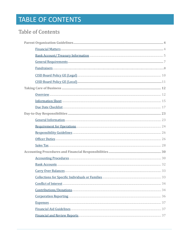# **TABLE OF CONTENTS**

### <span id="page-1-0"></span>**Table of Contents**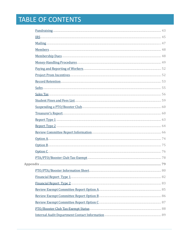# **TABLE OF CONTENTS**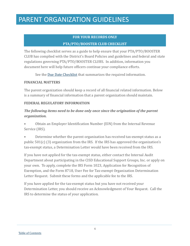### **FOR YOUR RECORDS ONLY PTA/PTO/BOOSTER CLUB CHECKLIST**

The following checklist serves as a guide to help ensure that your PTA/PTO/BOOSTER CLUB has complied with the District's Board Policies and guidelines and federal and state regulations governing PTA/PTO/BOOSTER CLUBS. In addition, information you document here will help future officers continue your compliance efforts.

See the [Due Date Checklist](#page-16-0) that summarizes the required information.

#### <span id="page-3-0"></span>**FINANCIAL MATTERS**

The parent organization should keep a record of all financial related information. Below is a summary of financial information that a parent organization should maintain.

### **FEDERAL REGULATORY INFORMATION**

### *The following items need to be done only once since the origination of the parent organization.*

• Obtain an Employer Identification Number (EIN) from the Internal Revenue Service (IRS).

• Determine whether the parent organization has received tax-exempt status as a public 501(c) (3) organization from the IRS. If the IRS has approved the organization's tax-exempt status, a Determination Letter would have been received from the IRS.

If you have not applied for the tax-exempt status, either contact the Internal Audit Department about participating in the CISD Educational Support Groups, Inc. or apply on your own. To apply, complete the IRS Form 1023, Application for Recognition of Exemption, and the Form 8718, User Fee for Tax-exempt Organization Determination Letter Request. Submit these forms and the applicable fee to the IRS.

If you have applied for the tax-exempt status but you have not received your Determination Letter, you should receive an Acknowledgment of Your Request. Call the IRS to determine the status of your application.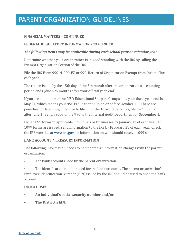### **FINANCIAL MATTERS – CONTINUED**

### **FEDERAL REGULATORY INFORMATION - CONTINUED**

### *The following items may be applicable during each school year or calendar year.*

Determine whether your organization is in good standing with the IRS by calling the Exempt Organization Section of the IRS.

File the IRS Form 990-N, 990-EZ or 990, Return of Organization Exempt from Income Tax, each year.

The return is due by the 15th day of the 5th month after the organization's accounting period ends (due 4 ½ months after your official year-end).

If you are a member of the CISD Educational Support Groups, Inc. your fiscal year-end is May 31, which means your 990 is due to the IRS on or before October 15. There are penalties for late filing or failure to file. In order to avoid penalties, file the 990 on or after June 1. Send a copy of the 990 to the Internal Audit Department by September 1.

Issue 1099 forms to applicable individuals or businesses by January 31 of each year. If 1099 forms are issued, send information to the IRS by February 28 of each year. Check the IRS web site at [www.irs.gov](https://www.irs.gov/) for information on who should receive 1099's.

### <span id="page-4-0"></span>**BANK ACCOUNT / TREASURY INFORMATION**

The following information needs to be updated as information changes with the parent organization.

The bank accounts used by the parent organization.

• The identification number used for the bank accounts. The parent organization's Employee Identification Number (EIN) issued by the IRS should be used to open the bank account.

#### **DO NOT USE:**

- **• An individual's social security number and/or**
- **• The District's EIN.**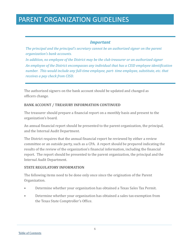### *Important*

*The principal and the principal's secretary cannot be an authorized signer on the parent organization's bank accounts.*

*In addition, no employee of the District may be the club treasurer or an authorized signer An employee of the District encompasses any individual that has a CISD employee identification number. This would include any full-time employee, part- time employee, substitute, etc. that receives a pay check from CISD.*

The authorized signers on the bank account should be updated and changed as officers change.

### **BANK ACCOUNT / TREASURY INFORMATION CONTINUED**

The treasurer should prepare a financial report on a monthly basis and present to the organization's board.

An annual financial report should be presented to the parent organization, the principal, and the Internal Audit Department.

The District requires that the annual financial report be reviewed by either a review committee or an outside party, such as a CPA. A report should be prepared indicating the results of the review of the organization's financial information, including the financial report. The report should be presented to the parent organization, the principal and the Internal Audit Department.

### **STATE REGULATORY INFORMATION**

The following items need to be done only once since the origination of the Parent Organization.

- Determine whether your organization has obtained a Texas Sales Tax Permit.
- Determine whether your organization has obtained a sales tax-exemption from the Texas State Comptroller's Office.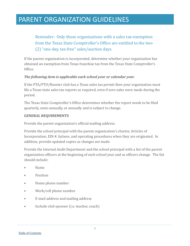Reminder: Only those organizations with a sales tax-exemption from the Texas State Comptroller's Office are entitled to the two (2) "one-day, tax-free" sales/auction days.

If the parent organization is incorporated, determine whether your organization has obtained an exemption from Texas franchise tax from the Texas State Comptroller's Office.

### *The following item is applicable each school year or calendar year.*

If the PTA/PTO/Booster club has a Texas sales tax permit then your organization must file a Texas state sales tax reports as required, even if zero sales were made during the period.

The Texas State Comptroller's Office determines whether the report needs to be filed quarterly, semi-annually, or annually and is subject to change.

#### <span id="page-6-0"></span>**GENERAL REQUIREMENTS**

Provide the parent organization's official mailing address.

Provide the school principal with the parent organization's charter, Articles of Incorporation, EIN #, bylaws, and operating procedures when they are originated. In addition, provide updated copies as changes are made.

Provide the Internal Audit Department and the school principal with a list of the parent organization officers at the beginning of each school year and as officers change. The list should include:

- Name
- Position
- Home phone number
- Work/cell phone number
- E-mail address and mailing address
- Include club sponsor (i.e. teacher, coach)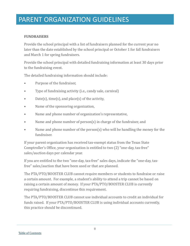### <span id="page-7-0"></span>**FUNDRAISERS**

Provide the school principal with a list of fundraisers planned for the current year no later than the date established by the school principal or October 1 for fall fundraisers and March 1 for spring fundraisers.

Provide the school principal with detailed fundraising information at least 30 days prior to the fundraising event.

The detailed fundraising information should include:

- Purpose of the fundraiser,
- Type of fundraising activity (i.e., candy sale, carnival)
- $Date(s)$ , time(s), and place(s) of the activity,
- Name of the sponsoring organization,
- Name and phone number of organization's representative,
- Name and phone number of person(s) in charge of the fundraiser, and
- Name and phone number of the person(s) who will be handling the money for the fundraiser.

If your parent organization has received tax-exempt status from the Texas State Comptroller's Office, your organization is entitled to two (2) "one-day, tax-free" sales/auction days per calendar year.

If you are entitled to the two "one-day, tax-free" sales days, indicate the "one-day, taxfree" sales/auction that have been used or that are planned.

The PTA/PTO/BOOSTER CLUB cannot require members or students to fundraise or raise a certain amount. For example, a student's ability to attend a trip cannot be based on raising a certain amount of money. If your PTA/PTO/BOOSTER CLUB is currently requiring fundraising, discontinue this requirement.

The PTA/PTO/BOOSTER CLUB cannot use individual accounts to credit an individual for funds raised. If your PTA/PTO/BOOSTER CLUB is using individual accounts currently, this practice should be discontinued.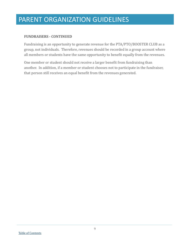### **FUNDRAISERS - CONTINUED**

Fundraising is an opportunity to generate revenue for the PTA/PTO/BOOSTER CLUB as a group, not individuals. Therefore, revenues should be recorded in a group account where all members or students have the same opportunity to benefit equally from the revenues.

One member or student should not receive a larger benefit from fundraising than another. In addition, if a member or student chooses not to participate in the fundraiser, that person still receives an equal benefit from the revenues generated.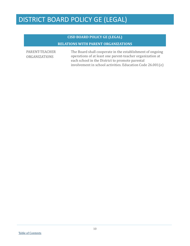### **CISD BOARD POLICY GE (LEGAL) RELATIONS WITH PARENT ORGANIZATIONS**

<span id="page-9-0"></span>PARENT-TEACHER ORGANIZATIONS

The Board shall cooperate in the establishment of ongoing operations of at least one parent-teacher organization at each school in the District to promote parental involvement in school activities. Education Code 26.001(e)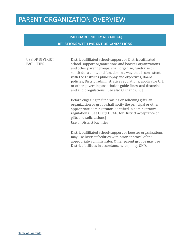### **CISD BOARD POLICY GE (LOCAL) RELATIONS WITH PARENT ORGANIZATIONS**

#### <span id="page-10-0"></span>USE OF DISTRICT FACILITIES

District-affiliated school-support or District-affiliated school-support organizations and booster organizations, and other parent groups, shall organize, fundraise or solicit donations, and function in a way that is consistent with the District's philosophy and objectives, Board policies, District administrative regulations, applicable UIL or other governing association guide-lines, and financial and audit regulations. [See also CDC and CFC]

Before engaging in fundraising or soliciting gifts, an organization or group shall notify the principal or other appropriate administrator identified in administrative regulations. [See CDC(LOCAL) for District acceptance of gifts and solicitations] Use of District Facilities

District-affiliated school-support or booster organizations may use District facilities with prior approval of the appropriate administrator. Other parent groups may use District facilities in accordance with policy GKD.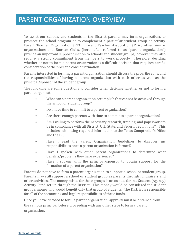<span id="page-11-0"></span>To assist our schools and students in the District parents may form organizations to promote the school program or to complement a particular student group or activity. Parent Teacher Organization (PTO), Parent Teacher Association (PTA), other similar organizations and Booster Clubs, (hereinafter referred to as "parent organization") provide an important support function to schools and student groups; however, they also require a strong commitment from members to work properly. Therefore, deciding whether or not to form a parent organization is a difficult decision that requires careful consideration of the pros and cons of formation.

Parents interested in forming a parent organization should discuss the pros, the cons, and the responsibilities of having a parent organization with each other as well as the principal/sponsor of the student group.

The following are some questions to consider when deciding whether or not to form a parent organization:

- What can a parent organization accomplish that cannot be achieved through the school or student group?
- Do I have time to commit to a parent organization?
- Are there enough parents with time to commit to a parent organization?
- Am I willing to perform the necessary research, training, and paperwork to be in compliance with all District, UIL, State, and Federal regulations? (This includes submitting required information to the Texas Comptroller's Office and the IRS.)
- Have I read the Parent Organization Guidelines to discover my responsibilities once a parent organization is formed?
- Have I spoken with other parent organizations to determine what benefits/problems they have experienced?
- Have I spoken with the principal/sponsor to obtain support for the formation of a parent organization?

Parents do not have to form a parent organization to support a school or student group. Parents may still support a school or student group as parents through fundraisers and other activities. The money raised for these groups is accounted for in a Student (Agency) Activity Fund set up through the District. This money would be considered the student group's money and would benefit only that group of students. The District is responsible for all of the accounting and legal responsibilities of these funds.

Once you have decided to form a parent organization, approval must be obtained from the campus principal before proceeding with any other steps to form a parent organization.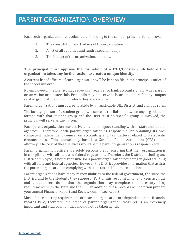Each such organization must submit the following to the campus principal for approval:

- 1. The constitution and by-laws of the organization.
- 2. A list of all activities and fundraisers, annually.
- 3. The budget of the organization, annually.

### **The principal must approve the formation of a PTO/Booster Club before the organization takes any further action to create a unique identity.**

A current list of officers of each organization will be kept on file in the principal's office of the school involved.

No employee of the District may serve as a treasurer or bank account signatory in a parent organization or booster club. Principals may not serve as board members for any campus related group at the school to which they are assigned.

Parent organizations must agree to abide by all applicable UIL, District, and campus rules.

The faculty sponsor of a student group will serve as the liaison between any organization formed with that student group and the District. If no specific group is involved, the principal will serve as the liaison.

Each parent organization must strive to remain in good standing with all state and federal agencies. Therefore, each parent organization is responsible for obtaining its own competent independent counsel on accounting and tax matters related to its specific circumstances. This counsel may include a Certified Public Accountant (CPA) or an attorney. The cost of these services would be the parent organization's responsibility.

Parent organization officers are solely responsible for ensuring that their organization is in compliance with all state and federal regulations. Therefore, the District, including any District employee, is not responsible for a parent organization not being in good standing with all state and federal agencies. However, the District provides information that assists the parent organization in complying with state tax and federal regulations.

Parent organizations have many responsibilities to the federal government, the state, the District, and to the students they support. Part of this responsibility is to keep accurate and updated records so that the organization may complete the necessary filing requirements with the state and the IRS. In addition, these records will help you prepare your annual Financial Report and Review Committee Report.

Most of the reporting requirements of a parent organization are dependent on the financial records kept; therefore, the office of parent organization treasurer is an extremely important and vital position that should not be taken lightly.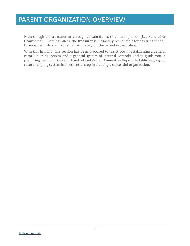Even though the treasurer may assign certain duties to another person (i.e., Fundraiser Chairperson – Catalog Sales), the treasurer is ultimately responsible for assuring that all financial records are maintained accurately for the parent organization.

With this in mind, this section has been prepared to assist you in establishing a general record-keeping system and a general system of internal controls, and to guide you in preparing the Financial Report and related Review Committee Report. Establishing a good record-keeping system is an essential step in creating a successful organization.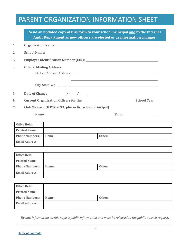# PARENT ORGANIZATION INFORMATION SHEET

<span id="page-14-0"></span>

|                  |                                  |                                                         | Send an updated copy of this form to your school principal and to the Internal<br>Audit Department as new officers are elected or as information changes. |  |
|------------------|----------------------------------|---------------------------------------------------------|-----------------------------------------------------------------------------------------------------------------------------------------------------------|--|
| 1.               | Organization Name                |                                                         |                                                                                                                                                           |  |
| 2.               |                                  |                                                         |                                                                                                                                                           |  |
| 3.               |                                  |                                                         |                                                                                                                                                           |  |
| $\overline{4}$ . | <b>Official Mailing Address:</b> |                                                         |                                                                                                                                                           |  |
|                  |                                  |                                                         |                                                                                                                                                           |  |
|                  |                                  |                                                         |                                                                                                                                                           |  |
| 5.               | Date of Change:                  | $\frac{\frac{1}{2}}{\frac{1}{2}}$                       |                                                                                                                                                           |  |
| 6.               |                                  |                                                         |                                                                                                                                                           |  |
| 7.               |                                  | Club Sponsor (If PTO/PTA, please list school Principal) |                                                                                                                                                           |  |
|                  |                                  |                                                         |                                                                                                                                                           |  |
|                  |                                  |                                                         |                                                                                                                                                           |  |
|                  | Office Held:                     |                                                         |                                                                                                                                                           |  |
|                  | <b>Printed Name:</b>             |                                                         |                                                                                                                                                           |  |
|                  | <b>Phone Numbers:</b>            | Home:                                                   | Other:                                                                                                                                                    |  |
|                  | <b>Email Address:</b>            |                                                         |                                                                                                                                                           |  |
|                  | <b>Office Held:</b>              |                                                         |                                                                                                                                                           |  |
|                  | <b>Printed Name:</b>             |                                                         |                                                                                                                                                           |  |
|                  | <b>Phone Numbers:</b>            | Home:                                                   | Other:                                                                                                                                                    |  |
|                  | <b>Email Address:</b>            |                                                         |                                                                                                                                                           |  |
|                  |                                  |                                                         |                                                                                                                                                           |  |
|                  | <b>Office Held:</b>              |                                                         |                                                                                                                                                           |  |
|                  | <b>Printed Name:</b>             |                                                         |                                                                                                                                                           |  |
|                  | <b>Phone Numbers:</b>            | Home:                                                   | Other:                                                                                                                                                    |  |
|                  | <b>Email Address:</b>            |                                                         |                                                                                                                                                           |  |

*By law, information on this page is public information and must be released to the public at such request.*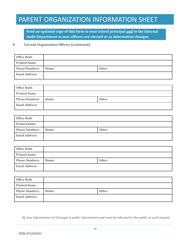# PARENT ORGANIZATION INFORMATION SHEET

**Send an updated copy of this form to your school principal and to the Internal Audit Department as new officers are elected or as information changes.**

#### **8. Current Organization Officers (continued):**

| Office Held:          |       |        |
|-----------------------|-------|--------|
| <b>Printed Name:</b>  |       |        |
| <b>Phone Numbers:</b> | Home: | Other: |
| <b>Email Address:</b> |       |        |

| Office Held:          |       |        |
|-----------------------|-------|--------|
| <b>Printed Name:</b>  |       |        |
| <b>Phone Numbers:</b> | Home: | Other: |
| <b>Email Address:</b> |       |        |

| Office Held:          |       |        |
|-----------------------|-------|--------|
| <b>Printed Name:</b>  |       |        |
| <b>Phone Numbers:</b> | Home: | Other: |
| <b>Email Address:</b> |       |        |

| Office Held:          |       |        |
|-----------------------|-------|--------|
| <b>Printed Name:</b>  |       |        |
| <b>Phone Numbers:</b> | Home: | Other: |
| <b>Email Address:</b> |       |        |

| Office Held:          |       |        |
|-----------------------|-------|--------|
| <b>Printed Name:</b>  |       |        |
| <b>Phone Numbers:</b> | Home: | Other: |
| <b>Email Address:</b> |       |        |

*By law, information on this page is public information and must be released to the public at such request.*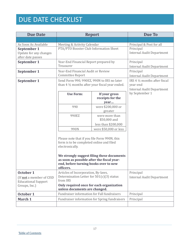# DUE DATE CHECKLIST

<span id="page-16-0"></span>

| <b>Due Date</b>                                                                                                                                                                                                                                               | <b>Report</b>                                                                                                                        |                                                       | Due To                                                                        |
|---------------------------------------------------------------------------------------------------------------------------------------------------------------------------------------------------------------------------------------------------------------|--------------------------------------------------------------------------------------------------------------------------------------|-------------------------------------------------------|-------------------------------------------------------------------------------|
|                                                                                                                                                                                                                                                               |                                                                                                                                      |                                                       |                                                                               |
| As Soon As Available                                                                                                                                                                                                                                          | Meeting & Activity Calendar                                                                                                          |                                                       | Principal & Post for all                                                      |
| September 1<br>Update for any changes<br>after date passes                                                                                                                                                                                                    | PTA/PTO Booster Club Information Sheet                                                                                               |                                                       | Principal<br><b>Internal Audit Department</b>                                 |
| September 1                                                                                                                                                                                                                                                   | Year-End Financial Report prepared by<br>Treasurer                                                                                   |                                                       | Principal<br><b>Internal Audit Department</b>                                 |
| September 1                                                                                                                                                                                                                                                   | Year-End Financial Audit or Review<br>Committee Report                                                                               |                                                       | Principal<br><b>Internal Audit Department</b>                                 |
| September 1                                                                                                                                                                                                                                                   | Send Form 990, 990EZ, 990N to IRS no later<br>than 4 1/2 months after your fiscal year ended.                                        |                                                       | IRS 4 1/2 months after fiscal<br>year-end<br><b>Internal Audit Department</b> |
|                                                                                                                                                                                                                                                               | <b>Use Form:</b>                                                                                                                     | If your gross<br>receipts for the<br>year             | by September 1                                                                |
|                                                                                                                                                                                                                                                               | 990                                                                                                                                  | were \$200,000 or<br>greater                          |                                                                               |
|                                                                                                                                                                                                                                                               | 990EZ                                                                                                                                | were more than<br>\$50,000 and<br>less than \$200,000 |                                                                               |
|                                                                                                                                                                                                                                                               | 990N                                                                                                                                 | were \$50,000 or less                                 |                                                                               |
| Please note that if you file Form 990N, this<br>form is to be completed online and filed<br>electronically.<br>We strongly suggest filing these documents<br>as soon as possible after the fiscal year-<br>end, before turning books over to new<br>officers. |                                                                                                                                      |                                                       |                                                                               |
| October 1                                                                                                                                                                                                                                                     | Articles of Incorporation, By-laws,                                                                                                  |                                                       | Principal                                                                     |
| (If <b>not</b> a member of CISD<br><b>Educational Support</b>                                                                                                                                                                                                 | Determination Letter for $501(c)(3)$ status<br>from IRS<br>Only required once for each organization<br>unless documents are changed. |                                                       | <b>Internal Audit Department</b>                                              |
| Groups, Inc.)                                                                                                                                                                                                                                                 |                                                                                                                                      |                                                       |                                                                               |
| October 1                                                                                                                                                                                                                                                     | Fundraiser information for Fall fundraisers                                                                                          |                                                       | Principal                                                                     |
| March 1                                                                                                                                                                                                                                                       | Fundraiser information for Spring fundraisers                                                                                        |                                                       | Principal                                                                     |
|                                                                                                                                                                                                                                                               |                                                                                                                                      |                                                       |                                                                               |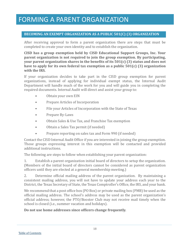### **BECOMING AN EXEMPT ORGANIZATION AS A PUBLIC 501(C) (3) ORGANIZATION**

After receiving approval to form a parent organization there are steps that must be completed to create your own identity and to establish the organization.

**CISD has a group exemption held by CISD Educational Support Groups, Inc. Your parent organization is not required to join the group exemption. By participating, your parent organization shares in the benefits of its 501(c) (3) status and does not have to apply for its own federal tax exemption as a public 501(c) (3) organization with the IRS.** 

If your organization decides to take part in the CISD group exemption for parent organizations, instead of applying for individual exempt status, the Internal Audit Department will handle much of the work for you and will guide you in completing the required documents. Internal Audit will direct and assist your group to:

- Obtain your own EIN
- Prepare Articles of Incorporation
- File your Articles of Incorporation with the State of Texas
- Prepare By-Laws
- Obtain Sales & Use Tax, and Franchise Tax exemption
- Obtain a Sales Tax permit (if needed)
- Prepare reporting on sales tax and Form 990 (if needed)

Contact the CISD Internal Audit Office if you are interested in joining the group exemption. Those groups expressing interest in this exemption will be contacted and provided additional instructions.

The following are steps to follow when establishing your parent organization:

1. Establish a parent organization initial board of directors to setup the organization. (Members of the initial board of directors cannot be considered as parent organization officers until they are elected at a general membership meeting.)

2. Determine official mailing address of the parent organization. By maintaining a consistent mailing address, you will not have to update your address each year to the District, the Texas Secretary of State, the Texas Comptroller's Office, the IRS, and your bank.

We recommend that a post office box (PO Box) or private mailing box (PMB) be used as the official mailing address. The school's address may be used as the parent organization's official address; however, the PTO/Booster Club may not receive mail timely when the school is closed (i.e., summer vacation and holidays).

**Do not use home addresses since officers change frequently.**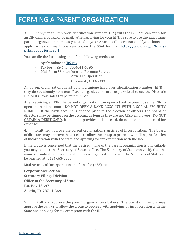3. Apply for an Employer Identification Number (EIN) with the IRS. You can apply for an EIN online, by fax, or by mail. When applying for your EIN, be sure to use the exact same parent organization name as you used in your Articles of Incorporation. If you choose to apply by fax or mail, you can obtain the SS-4 form at [https://www.irs.gov/forms](https://www.irs.gov/forms-pubs/about-form-ss-4)[pubs/about-form-ss-4.](https://www.irs.gov/forms-pubs/about-form-ss-4)

You can file the form using one of the following methods:

- Apply online at **IRS.gov**
- Fax Form SS-4 to (855) 641-6395
- Mail Form SS-4 to: Internal Revenue Service

 Attn: EIN Operation Cincinnati, OH 45999

All parent organizations must obtain a unique Employer Identification Number (EIN) if they do not already have one. Parent organizations are not permitted to use the District's EIN or its Texas sales tax permit number.

After receiving an EIN, the parent organization can open a bank account. Use the EIN to open the bank account**.** DO NOT OPEN A BANK ACCOUNT WITH A SOCIAL SECURITY NUMBER. If the bank account is opened prior to the election of officers, the board of directors may be signers on the account, as long as they are not CISD employees. DO NOT OBTAIN A DEBIT CARD. If the bank provides a debit card, do not use the debit card for expenses.

4. Draft and approve the parent organization's Articles of Incorporation. The board of directors may approve the articles to allow the group to proceed with filing the Articles of Incorporation with the state and applying for tax-exemption with the IRS.

If the group is concerned that the desired name of the parent organization is unavailable you may contact the Secretary of State's office. The Secretary of State can verify that the name is available and acceptable for your organization to use. The Secretary of State can be reached at (512) 463-5555.

Mail Articles of Incorporation and filing fee (\$25) to:

**Corporations Section Statutory Filings Division Office of the Secretary of State P.O. Box 13697 Austin, TX 78711-369**

5. Draft and approve the parent organization's bylaws. The board of directors may approve the bylaws to allow the group to proceed with applying for incorporation with the State and applying for tax exemption with the IRS.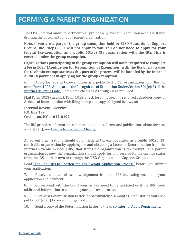The CISD Internal Audit Department will provide a bylaws template if you need assistance drafting the document for your parent organization.

**Note, if you are a part of the group exemption held by CISD Educational Support Groups, Inc., steps 6-11 will not apply to you. You do not need to apply for your federal tax-exemption as a public 501(c) (3) organization with the IRS. This is covered under the group exemption.**

**Organizations participating in the group exemption will not be required to complete a Form 1023 (Application for Recognition of Exemption) with the IRS or pay a user fee to obtain exempt status as this part of the process will be handled by the Internal Audit Department in applying for the group exemption**.

6. Apply for federal tax-exemption as a public  $501(c)(3)$  organization with the IRS usin[g Form 1023, Application for Recognition of Exemption Under Section 501\(c\)\(3\) of the](https://www.irs.gov/uac/About-Form-1023)  [Internal Revenue Code.](https://www.irs.gov/uac/About-Form-1023) Complete Schedules A through H as required.

Mail Form 1023 checklist, Form 1023, check for filing fee, any required Schedules, copy of Articles of Incorporation with filing stamp and copy of signed bylaws to:

**Internal Revenue Service P.O. Box 192 Covington, KY 41012-0192**

The IRS provides information, explanations, guides, forms, and publications about forming a 501(c) (3), se[e Life Cycle of a Public Charity.](https://www.irs.gov/Charities-&-Non-Profits/Charitable-Organizations/Life-Cycle-of-a-Public-Charity)

All parent organizations should obtain federal tax exempt status as a public 501(c) (3) charitable organization by applying for and obtaining a Letter of Determination from the Internal Revenue Service (IRS) that states the organization is tax exempt. If a parent organization is new, the organization should apply for and receive its tax exempt status from the IRS on their own or through the CISD Organizational Support Groups.

Read ["Top Ten Tips to Shorten the Tax-Exempt Application Process"](https://www.irs.gov/Charities-&-Non-Profits/Top-Ten-Reasons-for-Delays-in-Processing-Exempt-Organization-Applications) before you submit your application.

7. Receive a Letter of Acknowledgement from the IRS indicating receipt of your application and payment.

8. Correspond with the IRS if your bylaws need to be modified or if the IRS needs additional information to complete your approval process.

9. Receive a Determination Letter (approximately 4-6 months later) stating you are a public 501(c) (3) tax-exempt organization.

10. Send a copy of the Determination Letter to the [CISD Internal Audit Department.](https://www.conroeisd.net/internal-audit/)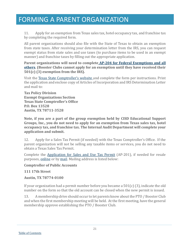11. Apply for an exemption from Texas sales tax, hotel occupancy tax, and franchise tax by completing the required form.

All parent organizations should also file with the State of Texas to obtain an exemption from state taxes. After receiving your determination letter from the IRS, you can request exempt status from state sales and use taxes (to purchase items to be used in an exempt manner) and franchise taxes by filling out the appropriate application.

**Parent organizations will need to complete [AP-204 for Federal Exemptions and all](https://comptroller.texas.gov/taxes/exempt/forms/)  [others.](https://comptroller.texas.gov/taxes/exempt/forms/) (Booster Clubs cannot apply for an exemption until they have received their 501(c) (3) exemption from the IRS).**

Visit the [Texas State Comptroller's website a](https://comptroller.texas.gov/)nd complete the form per instructions. Print the application and enclose copy of Articles of Incorporation and IRS Determination Letter and mail to:

**Tax Policy Division Exempt Organizations Section Texas State Comptroller's Office P.O. Box 13528 Austin, TX 78711-3528** 

**Note, if you are a part of the group exemption held by CISD Educational Support Groups, Inc., you do not need to apply for an exemption from Texas sales tax, hotel occupancy tax, and franchise tax. The Internal Audit Department will complete your application and submit.**

12. Apply for a Sales Tax Permit (if needed) with the Texas Comptroller's Office. If the parent organization will not be selling any taxable items or services, you do not need to obtain a Texas Sales Tax Permit.

Complete the [Application for Sales and Use Tax Permit](https://comptroller.texas.gov/taxes/sales/forms/index.php) (AP-201), if needed for resale purposes, [online](https://comptroller.texas.gov/taxes/permit/) or by [mail.](https://comptroller.texas.gov/taxes/sales/forms/index.php) Mailing address is listed below:

### **Comptroller of Public Accounts**

**111 17th Street**

**Austin, TX 78774-0100**

If your organization had a permit number before you became a 501(c) (3), indicate the old number on the form so that the old account can be closed when the new permit is issued.

13. A membership drive should occur to let parents know about the PTO / Booster Club and when the first membership meeting will be held. At the first meeting, have the general membership approve establishing the PTO / Booster Club.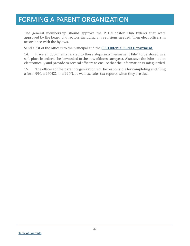The general membership should approve the PTO/Booster Club bylaws that were approved by the board of directors including any revisions needed. Then elect officers in accordance with the bylaws.

Send a list of the officers to the principal and the **CISD Internal Audit Department**.

14. Place all documents related to these steps in a "Permanent File" to be stored in a safe place in order to be forwarded to the new officers each year. Also, save the information electronically and provide to several officers to ensure that the information is safeguarded.

15. The officers of the parent organization will be responsible for completing and filing a form 990, a 990EZ, or a 990N, as well as, sales tax reports when they are due.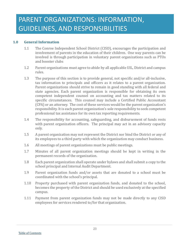### **1.0 General Information**

- <span id="page-22-0"></span>1.1 The Conroe Independent School District (CISD), encourages the participation and involvement of parents in the education of their children. One way parents can be involved is through participation in voluntary parent organizations such as PTOs and booster clubs
- 1.2 Parent organizations must agree to abide by all applicable UIL, District and campus rules.
- 1.3 The purpose of this section is to provide general, not specific and/or all-inclusive, tax information to principals and officers as it relates to a parent organization. Parent organizations should strive to remain in good standing with all federal and state agencies. Each parent organization is responsible for obtaining its own competent independent counsel on accounting and tax matters related to its specific circumstances. This counsel may include a Certified Public Accountant (CPA) or an attorney. The cost of these services would be the parent organization's responsibility. It is each parent organization's sole responsibility to seek competent professional tax assistance for its own tax reporting requirements.
- 1.4 The responsibility for accounting, safeguarding, and disbursement of funds rests with parent organization officers. The principal may act in an advisory capacity only.
- 1.5 A parent organization may not represent the District nor bind the District or any of its employees to a third party with which the organization may conduct business.
- 1.6 All meetings of parent organizations must be public meetings.
- 1.7 Minutes of all parent organization meetings should be kept in writing in the permanent records of the organization.
- 1.8 Each parent organization shall operate under bylaws and shall submit a copy to the school principal and Internal Audit Department.
- 1.9 Parent organization funds and/or assets that are donated to a school must be coordinated with the school's principal.
- 1.10 Property purchased with parent organization funds, and donated to the school, becomes the property of the District and should be used exclusively at the specified campus.
- 1.11 Payment from parent organization funds may not be made directly to any CISD employees for services rendered to/for that organization.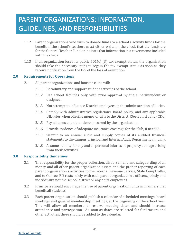- 1.12 Parent organizations who wish to donate funds to a school's activity funds for the benefit of the school's teachers must either write on the check that the funds are for the General Teacher Fund or indicate that information in a cover memo included with the check.
- 1.13 If an organization loses its public  $501(c)$  (3) tax exempt status, the organization should take the necessary steps to regain the tax exempt status as soon as they receive notification from the IRS of the loss of exemption.

### **2.0 Requirements for Operations**

- <span id="page-23-0"></span>2.1 All parent organizations and booster clubs will:
	- 2.1.1 Be voluntary and support student activities of the school.
	- 2.1.2 Use school facilities only with prior approval by the superintendent or designee.
	- 2.1.3 Not attempt to influence District employees in the administration of duties.
	- 2.1.4 Comply with administrative regulations, Board policy, and any applicable UIL rules when offering money or gifts to the District. [See Board policy CDC]
	- 2.1.5 Pay all taxes and other debts incurred by the organization.
	- 2.1.6 Provide evidence of adequate insurance coverage for the club, if needed.
	- 2.1.7 Submit to an annual audit and supply copies of its audited financial statements to the campus principal and Internal Audit Department annually.
	- 2.1.8 Assume liability for any and all personal injuries or property damage arising from their activities.

### **3.0 Responsibility Guidelines**

- <span id="page-23-1"></span>3.1 The responsibility for the proper collection, disbursement, and safeguarding of all money and all other parent organization assets and the proper reporting of each parent organization's activities to the Internal Revenue Service, State Comptroller, and to Conroe ISD rests solely with each parent organization's officers, jointly and individually, not the school district or any of its employees.
- 3.2 Principals should encourage the use of parent organization funds in manners that benefit all students.
- 3.3 Each parent organization should publish a calendar of scheduled meetings, board meetings and general membership meetings, at the beginning of the school year. This will allow all members to reserve meeting dates and should increase attendance and participation. As soon as dates are selected for fundraisers and other activities, these should be added to the calendar.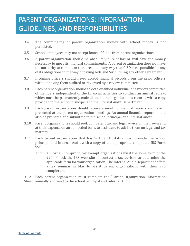- 3.4 The commingling of parent organization money with school money is not permitted.
- 3.5 School employees may not accept loans of funds from parent organizations.
- 3.6 A parent organization should be absolutely sure it has or will have the money necessary to meet its financial commitments. A parent organization does not have the authority to commit or to represent in any way that CISD is responsible for any of its obligations in the way of paying bills and/or fulfilling any other agreement.
- 3.7 Incoming officers should never accept financial records from the prior officers without having them audited or reviewed by a review committee.
- 3.8 Each parent organization should select a qualified individual or a review committee of members independent of the financial activities to conduct an annual review, which must be permanently maintained in the organization's records with a copy provided to the school principal and the Internal Audit Department.
- 3.9 Each parent organization should receive a monthly financial reports and have it presented at the parent organization meetings. An annual financial report should also be prepared and submitted to the school principal and Internal Audit.
- 3.10 Parent organizations should seek competent tax and legal advice on their own and at their expense on an as-needed basis to assist and to advise them on legal and tax matters.
- 3.11 Each parent organization that has 501(c) (3) status must provide the school principal and Internal Audit with a copy of the appropriate completed IRS Form 990.
	- 3.11.1 Almost all non-profit, tax exempt organizations must file some form of the 990. Check the IRS web site or contact a tax advisor to determine the applicable form for your organization. The Internal Audit Department offers a tax seminar in May to assist parent organizations with their 990 completion.

3.12 Each parent organization must complete the "Parent Organization Information Sheet" annually and send to the school principal and Internal Audit.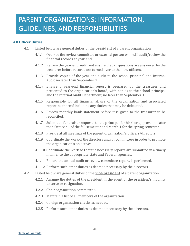### <span id="page-25-0"></span>**4.0 Officer Duties**

- 4.1 Listed below are general duties of the **president** of a parent organization.
	- 4.1.1 Oversee the review committee or external person who will audit/review the financial records at year-end.
	- 4.1.2 Review the year-end audit and ensure that all questions are answered by the treasurer before records are turned over to the new officers.
	- 4.1.3 Provide copies of the year-end audit to the school principal and Internal Audit no later than September 1.
	- 4.1.4 Ensure a year-end financial report is prepared by the treasurer and presented to the organization's board, with copies to the school principal and the Internal Audit Department, no later than September 1.
	- 4.1.5 Responsible for all financial affairs of the organization and associated reporting thereof including any duties that may be delegated.
	- 4.1.6 Review monthly bank statement before it is given to the treasurer to be reconciled.
	- 4.1.7 Submit all fundraiser requests to the principal for his/her approval no later than October 1 of the fall semester and March 1 for the spring semester.
	- 4.1.8 Preside at all meetings of the parent organization's officers/directors.
	- 4.1.9 Coordinate the work of the directors and/or committees in order to promote the organization's objectives.
	- 4.1.10 Coordinate the work so that the necessary reports are submitted in a timely manner to the appropriate state and Federal agencies.
	- 1 4.1.11 Ensure the annual audit or review committee report, is performed.
	- 3 4.1.12 Perform such other duties as deemed necessary by the directors.
- 4.2 Listed below are general duties of the **vice-president** of a parent organization.
	- 4.2.1 Assume the duties of the president in the event of the president's inability to serve or resignation.
	- 4.2.2 Chair organization committees.
	- 4.2.3 Maintain a list of all members of the organization.
	- 4.2.4 Co-sign organization checks as needed.
	- 4.2.5 Perform such other duties as deemed necessary by the directors.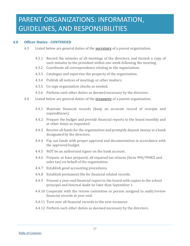#### **4.0 Officer Duties - CONTINUED**

- 4.3 Listed below are general duties of the **secretary** of a parent organization.
	- 4.3.1 Record the minutes of all meetings of the directors, and furnish a copy of such minutes to the president within one week following the meeting.
	- 4.3.2 Coordinate all correspondence relating to the organization.
	- 4.3.3 Catalogue and supervise the property of the organization.
	- 4.3.4 Publish all notices of meetings or other matters.
	- 4.3.5 Co-sign organization checks as needed.
	- 4.3.6 Perform such other duties as deemed necessary by the directors.
- 4.4 Listed below are general duties of the **treasurer** of a parent organization.
	- 4.4.1 Maintain financial records (keep an accurate record of receipts and expenditures).
	- 4.4.2 Prepare the budget and provide financial reports to the board monthly and at other times as requested.
	- 4.4.3 Receive all funds for the organization and promptly deposit money in a bank designated by the directors.
	- 4.4.4 Pay out funds with proper approval and documentation in accordance with the approved budget.
	- 4.4.5 NOT be an authorized signer on the bank account.
	- 4.4.6 Prepare, or have prepared, all required tax returns (form 990/990EZ and sales tax) on behalf of the organization.
	- 4.4.7 Establish good accounting procedures.
	- 4.4.8 Establish permanent file for financial related records.
	- 4.4.9 Present a year-end financial report to the board with copies to the school principal and Internal Audit no later than September 1.
	- 4.4.10 Cooperate with the review committee or person assigned to audit/review financial records at year-end.
	- 4.4.11 Turn over all financial records to the new treasurer.
	- 4.4.12 Perform such other duties as deemed necessary by the directors.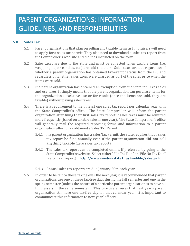### **5.0 Sales Tax**

- <span id="page-27-0"></span>5.1 Parent organizations that plan on selling any taxable items as fundraisers will need to apply for a sales tax permit. They also need to download a sales tax report from the Comptroller's web site and file it as instructed on the form.
- 5.2 Sales taxes are due to the State and must be collected when taxable items (i.e. wrapping paper, candles, etc.) are sold to others. Sales taxes are due regardless of whether a parent organization has obtained tax-exempt status from the IRS and regardless of whether sales taxes were charged as part of the sales price when the items were sold.
- 5.3 If a parent organization has obtained an exemption from the State for Texas sales and use taxes, it simply means that the parent organization can purchase items for the organization's exclusive use or for resale (once the items are sold, they are taxable) without paying sales taxes.
- 5.4 There is a requirement to file at least one sales tax report per calendar year with the State Comptroller's office. The State Comptroller will inform the parent organization after filing their first sales tax report if sales taxes must be remitted more frequently (based on taxable sales in one year). The State Comptroller's office will generally mail the required reporting forms and information to a parent organization after it has obtained a Sales Tax Permit.
	- 5.4.1 If a parent organization has a Sales Tax Permit, the State requires that a sales tax report be filed annually even if the parent organization **did not sell anything taxable** (zero sales tax report).
	- 5.4.2 The sales tax report can be completed online, if preferred, by going to the State Comptroller's website. Select either "File Tax Due" or "File No Tax Due" (zero tax report). <http://www.window.state.tx.us/webfile/salestax.html>
	- 5.4.3 Annual sales tax reports are due January 20th each year.
- 5.5 In order to be fair to those taking over the next year, it is recommended that parent organizations use one of these tax-free days during the fall semester and one in the spring semester (unless the nature of a particular parent organization is to have all fundraisers in the same semester). This practice ensures that next year's parent organization still have one tax-free day for that calendar year. It is important to communicate this information to next year' officers.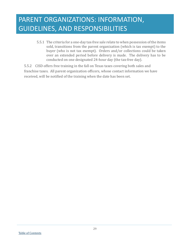5.5.1 The criteria for a one-day tax-free sale relate to when possession of the items sold, transitions from the parent organization (which is tax exempt) to the buyer (who is not tax exempt). Orders and/or collections could be taken over an extended period before delivery is made. The delivery has to be conducted on one designated 24-hour day (the tax-free day).

5.5.2 CISD offers free training in the fall on Texas taxes covering both sales and franchise taxes. All parent organization officers, whose contact information we have received, will be notified of the training when the date has been set.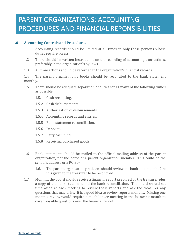# PARENT ORGANIZATIONS: ACCOUNITNG PROCEDURES AND FINANCIAL REPONSIBILITIES

### **1.0 Accounting Controls and Procedures**

- <span id="page-29-0"></span>1.1 Accounting records should be limited at all times to only those persons whose duties require access.
- 1.2 There should be written instructions on the recording of accounting transactions, preferably in the organization's by-laws.
- 1.3 All transactions should be recorded in the organization's financial records.

1.4 The parent organization's books should be reconciled to the bank statement monthly.

- 1.5 There should be adequate separation of duties for as many of the following duties as possible:
	- 1.5.1 Cash receipting.
	- 1.5.2 Cash disbursements.
	- 1.5.3 Authorization of disbursements.
	- 1.5.4 Accounting records and entries.
	- 1.5.5 Bank statement reconciliation.
	- 1.5.6 Deposits.
	- 1.5.7 Petty cash fund.
	- 1.5.8 Receiving purchased goods.
- 1.6 Bank statements should be mailed to the official mailing address of the parent organization, not the home of a parent organization member. This could be the school's address or a PO Box.
	- 1.6.1 The parent organization president should review the bank statement before it is given to the treasurer to be reconciled
- 1.7 Monthly, the board should receive a financial report prepared by the treasurer, plus a copy of the bank statement and the bank reconciliation. The board should set time aside at each meeting to review these reports and ask the treasurer any questions that may arise. It is a good idea to review reports monthly. Missing one month's review would require a much longer meeting in the following month to cover possible questions over the financial report.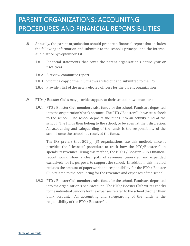- 1.8 Annually, the parent organization should prepare a financial report that includes the following information and submit it to the school's principal and the Internal Audit Office by September 1st:
	- 1.8.1 Financial statements that cover the parent organization's entire year or fiscal year.
	- 1.8.2 A review committee report.
	- 1.8.3 Submit a copy of the 990 that was filled out and submitted to the IRS.
	- 1.8.4 Provide a list of the newly elected officers for the parent organization.
- 1.9 PTOs / Booster Clubs may provide support to their school in two manners:
	- 1.9.1 PTO / Booster Club members raise funds for the school. Funds are deposited into the organization's bank account. The PTO / Booster Club writes a check to the school. The school deposits the funds into an activity fund at the school. The funds then belong to the school, to be spent at their discretion. All accounting and safeguarding of the funds is the responsibility of the school, once the school has received the funds.

The IRS prefers that 501(c) (3) organizations use this method, since it provides the "cleanest" procedure to track how the PTO/Booster Club spends its revenues. Using this method, the PTO's / Booster Club's financial report would show a clear path of revenues generated and expended exclusively for its purpose, to support the school. In addition, this method reduces the amount of paperwork and responsibility for the PTO / Booster Club related to the accounting for the revenues and expenses of the school.

1.9.2 PTO / Booster Club members raise funds for the school. Funds are deposited into the organization's bank account. The PTO / Booster Club writes checks to the individual vendors for the expenses related to the school through their bank account. All accounting and safeguarding of the funds is the responsibility of the PTO / Booster Club.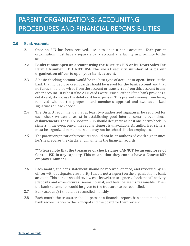### **2.0 Bank Accounts**

- <span id="page-31-0"></span>2.1 Once an EIN has been received, use it to open a bank account. Each parent organization must have a separate bank account at a facility in proximity to the school.
- 2.2 **Banks cannot open an account using the District's EIN or its Texas Sales Tax Permit Number. DO NOT USE the social security number of a parent organization officer to open your bank account.**
- 2.3 A basic checking account would be the best type of account to open. Instruct the bank that no debit or credit cards should be issued for the bank account and that no funds should be wired from the account or transferred from this account to any other account. It is best if no ATM cards were issued, either. If the bank provides a debit card, do not use the debit card for expenses. This prevents money from being removed without the proper board member's approval and two authorized signatures on each check.
- 2.4 The District recommends that at least two authorized signatures be required for each check written to assist in establishing good internal controls over check disbursements. The PTO/Booster Club should designate at least one or two back up signers in the event one of the regular signers is unavailable. All authorized signers must be organization members and may not be school district employees.
- 2.5 The parent organization's treasurer should **not** be an authorized check signer since he/she prepares the checks and maintains the financial records.

### **\*\*\*Please note that the treasurer or check signer CANNOT be an employee of Conroe ISD in any capacity. This means that they cannot have a Conroe ISD employee number.**

- 2.6 Each month, the bank statement should be received, opened, and reviewed by an officer without signature authority (that is not a signer) on the organization's bank account. This person should review checks written to signers, check that all activity (deposits and expenditures) seems normal, and balance seems reasonable. Then the bank statements would be given to the treasurer to be reconciled.
- 2.7 Bank account(s) should be reconciled monthly.
- 2.8 Each month the treasurer should present a financial report, bank statement, and bank reconciliation to the principal and the board for their review.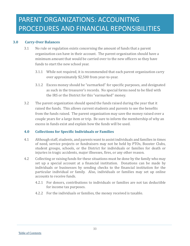### **3.0 Carry-Over Balances**

- <span id="page-32-0"></span>3.1 No rule or regulation exists concerning the amount of funds that a parent organization can have in their account. The parent organization should have a minimum amount that would be carried over to the new officers so they have funds to start the new school year.
	- 3.1.1 While not required, it is recommended that each parent organization carry over approximately \$2,500 from year-to-year.
	- 3.1.2 Excess money should be "earmarked" for specific purposes, and designated as such in the treasurer's records. No special forms need to be filed with the IRS or the District for this "earmarked" money.
- 3.2 The parent organization should spend the funds raised during the year that it raised the funds. This allows current students and parents to see the benefits from the funds raised. The parent organization may save the money raised over a couple years for a large item or trip. Be sure to inform the membership of why an excess in funds exist and explain how the funds will be used.

### <span id="page-32-1"></span>**4.0 Collections for Specific Individuals or Families**

- 4.1 Although staff, students, and parents want to assist individuals and families in times of need, service projects or fundraisers may not be held by PTOs, Booster Clubs, student groups, schools, or the District for individuals or families for death or injuries in tragic accidents, major illnesses, fires, or any other reason.
- 4.2 Collecting or raising funds for these situations must be done by the family who may set up a special account at a financial institution. Donations can be made by individuals or businesses by sending checks to the financial institution for the particular individual or family. Also, individuals or families may set up online accounts to receive funds.
	- 4.2.1 For donors, contributions to individuals or families are not tax deductible for income tax purposes.
	- 4.2.2 For the individuals or families, the money received is taxable.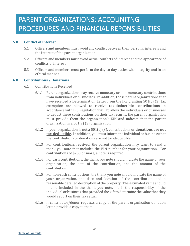### **5.0 Conflict of Interest**

- <span id="page-33-0"></span>5.1 Officers and members must avoid any conflict between their personal interests and the interest of the parent organization.
- 5.2 Officers and members must avoid actual conflicts of interest and the appearance of conflicts of interest.
- 5.3 Officers and members must perform the day-to-day duties with integrity and in an ethical manner.

### **6.0 Contributions / Donations**

- <span id="page-33-1"></span>6.1 Contributions Received
	- 6.1.1 Parent organizations may receive monetary or non-monetary contributions from individuals or businesses. In addition, those parent organizations that have received a Determination Letter from the IRS granting 501(c) (3) tax exemption are allowed to receive **tax-deductible contributions** in accordance with IRS Regulation 170. To allow the individuals or businesses to deduct these contributions on their tax returns, the parent organization must provide them the organization's EIN and indicate that the parent organization is a 501(c) (3) organization.
	- 6.1.2 If your organization is not a 501(c) (3), contributions or **donations are not tax-deductible**. In addition, you must inform the individual or business that the contributions or donations are not tax-deductible.
	- 6.1.3 For contributions received, the parent organization may want to send a thank you note that includes the EIN number for your organization. For contributions of \$250 or more, a note is required.
	- 6.1.4 For cash contributions, the thank you note should indicate the name of your organization, the date of the contribution, and the amount of the contribution.
	- 6.1.5 For non-cash contributions, the thank you note should indicate the name of your organization, the date and location of the contribution, and a reasonable detailed description of the property. The estimated value should not be included in the thank you note. It is the responsibility of the individual or business that provided the gift to determine the value that they would report on their tax return.
	- 6.1.6 If contributor/donor requests a copy of the parent organization donation letter, provide a copy to them.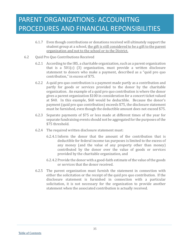# PARENT ORGANIZATIONS: ACCOUNITNG PROCEDURES AND FINANCIAL REPONSIBILITIES

- 6.1.7 Even though contributions or donations received will ultimately support the student group at a school, the gift is still considered to be a gift to the parent organization and not to the school or to the District.
- 6.2 Quid Pro Quo Contributions Received
	- 6.2.1 According to the IRS, a charitable organization, such as a parent organization that is a 501(c) (3) organization, must provide a written disclosure statement to donors who make a payment, described as a "quid pro quo contribution," in excess of \$75.
	- 6.2.2 A quid pro quo contribution is a payment made partly as a contribution and partly for goods or services provided to the donor by the charitable organization. An example of a quid pro quo contribution is where the donor gives a parent organization \$100 in consideration for a concert ticket valued at \$40. In this example, \$60 would be deductible. Because the donor's payment (quid pro quo contribution) exceeds \$75, the disclosure statement must be furnished, even though the deductible amount does not exceed \$75.
	- 6.2.3 Separate payments of \$75 or less made at different times of the year for separate fundraising events should not be aggregated for the purposes of the \$75 threshold.
	- 6.2.4 The required written disclosure statement must:
		- 6.2.4.1 Inform the donor that the amount of the contribution that is deductible for federal income tax purposes is limited to the excess of any money (and the value of any property other than money) contributed by the donor over the value of goods or services provided by the charitable organization, and
		- 6.2.4.2 Provide the donor with a good-faith estimate of the value of the goods or services that the donor received.
	- 6.2.5 The parent organization must furnish the statement in connection with either the solicitation or the receipt of the quid pro quo contribution. If the disclosure statement is furnished in connection with a particular solicitation, it is not necessary for the organization to provide another statement when the associated contribution is actually received.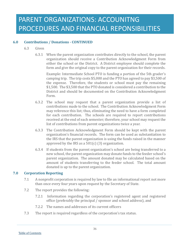### **6.0 Contributions / Donations - CONTINUED**

- 6.3 Given
	- 6.3.1 When the parent organization contributes directly to the school, the parent organization should receive a Contribution Acknowledgment Form from either the school or the District. A District employee should complete the form and give the original copy to the parent organization for their records.

Example: Intermediate School PTO is funding a portion of the 5th grader's camping trip. The trip costs \$5,000 and the PTO has agreed to pay \$3,500 of the expense. Therefore, the students or school must pay the remaining \$1,500. The \$3,500 that the PTO donated is considered a contribution to the District and should be documented on the Contribution Acknowledgment Form.

- 6.3.2 The school may request that a parent organization provide a list of contributions made to the school. The Contribution Acknowledgment Form may reference this list; thus, eliminating the need to have a form completed for each contribution. The schools are required to report contributions received at the end of each semester; therefore, your school may request the list of contributions from parent organizations twice a year.
- 6.3.3 The Contribution Acknowledgment Form should be kept with the parent organization's financial records. The form can be used as substantiation to the IRS that the parent organization is using the funds raised in the manner approved by the IRS as a 501(c) (3) organization.
- 6.3.4 If students from the parent organization's school are being transferred to a new school, the parent organization may donate funds to the feeder school's parent organization. The amount donated may be calculated based on the amount of students transferring to the feeder school. The total amount donated is up to the parent organization.

### **7.0 Corporation Reporting**

- <span id="page-35-0"></span>7.1 A nonprofit corporation is required by law to file an informational report not more than once every four years upon request by the Secretary of State.
- 7.2 The report provides the following:
	- 7.2.1 Information regarding the corporation's registered agent and registered office (preferably the principal / sponsor and school address), and
	- 7.2.2 The names and addresses of its current officers
- 7.3 The report is required regardless of the corporation's tax status.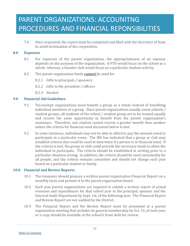7.4 Once requested, the report must be completed and filed with the Secretary of State to avoid termination of the corporation.

#### **8.0 Expenses**

- 8.1 For expenses of the parent organization, the appropriateness of an expense depends on the purpose of the organization. A PTO would focus on the school as a whole; whereas, a booster club would focus on a particular student activity.
- 8.2 The parent organization funds **cannot** be used for:
	- 8.2.1 Gifts to principals / sponsors
	- 8.2.2 Gifts to the president / officers
	- 8.2.3 Alcohol

### **9.0 Financial Aid Guidelines**

- 9.1 Tax-exempt organizations must benefit a group as a whole instead of benefiting individual members of a group. Since parent organizations usually assist schools / student groups, all students of the school / student group are to be treated equally and receive the same opportunity to benefit from the parent organization's assistance. Therefore, one student cannot receive a greater benefit than another unless the criteria for financial need discussed below is met.
- 9.2 In some instances, individuals may not be able to afford to pay the amount owed to participate in a particular event. The IRS has indicated that a group or club may establish criteria that could be used to determine if a person is in financial need. If the criteria is met, the group or club could provide the necessary funds to allow the individual to participate. The criteria should be established in writing prior to a particular situation arising. In addition, the criteria should be used consistently for all people, and the criteria remains consistent and should not change each year based on a particular student or family.

### **10.0 Financial and Review Reports**

- 10.1 The treasurer should prepare a written parent organization Financial Report on a monthly basis and present it to the parent organization board.
- 10.2 Each year parent organizations are required to submit a written report of actual revenues and expenditures for that school year to the principal, sponsor and the Internal Audit Department by Sept. 1st, of the following year. The Financial Report and Review Report are not audited by the District.
- 10.3 The Financial Report and the Review Report must be presented at a parent organization meeting that includes its general membership by Oct. 31, of each year, or a copy should be available at the school's front desk for review.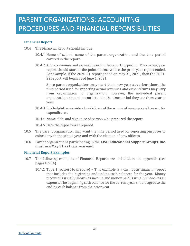### **Financial Report**

- 10.4 The Financial Report should include:
	- 10.4.1 Name of school, name of the parent organization, and the time period covered in the report.
	- 10.4.2 Actual revenues and expenditures for the reporting period. The current year report should start at the point in time where the prior year report ended. For example, if the 2020-21 report ended on May 31, 2021, then the 2021- 22 report will begin as of June 1, 2021.

Since parent organizations may start their new year at various times, the time period used for reporting actual revenues and expenditures may vary from organization to organization; however, the individual parent organizations should be consistent in the time period they use from year to year.

- 10.4.3 It is helpful to provide a breakdown of the source of revenues and reason for expenditures.
- 10.4.4 Name, title, and signature of person who prepared the report.

10.4.5 Date the report was prepared.

- 10.5 The parent organization may want the time period used for reporting purposes to coincide with the school year and with the election of new officers.
- 10.6 Parent organizations participating in the **CISD Educational Support Groups, Inc. must use May 31 as their year-end.**

### **Financial Report Examples**

- 10.7 The following examples of Financial Reports are included in the appendix (see pages 82-84):
	- 10.7.1 Type 1 (easiest to prepare) This example is a cash basis financial report that includes the beginning and ending cash balances for the year. Money received is usually shown as income and money paid is usually shown as an expense. The beginning cash balance for the current year should agree to the ending cash balance from the prior year.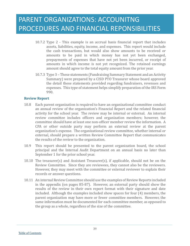- 10.7.2 Type 2 This example is an accrual basis financial report that includes assets, liabilities, equity, income, and expenses. This report would include the cash transactions, but would also show amounts to be received or amounts to be paid in which money has not yet been exchanged, prepayments of expenses that have not yet been incurred, or receipt of amounts in which income is not yet recognized. The retained earnings amount should agree to the total equity amount from the prior year.
- 10.7.3 Type 3 These statements (Fundraising Summary Statement and an Activity Summary) were prepared by a CISD PTO Treasurer whose board approved the detail these statements provided regarding fundraisers, revenues and expenses. This type of statement helps simplify preparation of the IRS Form 990.

#### **Review Report**

- 10.8 Each parent organization is required to have an organizational committee conduct an annual review of the organization's Financial Report and the related financial activity for the school year. The review may be internal or external. An internal review committee includes officers and organization members; however, the committee should have at least one non-officer member review the information. A CPA or other outside party may perform an external review at the parent organization's expense. The organizational review committee, whether internal or external, should prepare a written Review Committee Report that communicates the results of the review to the organization.
- 10.9 This report should be presented to the parent organization board, the school principal and the Internal Audit Department on an annual basis no later than September 1 for the prior school year.
- 10.10 The treasurer(s) and Assistant Treasurer(s), if applicable, should not be on the Review Committee. Since they are reviewees, they cannot also be the reviewers. However, they may meet with the committee or external reviewer to explain their records or answer questions.
- 10.11 An internal Review Committee should use the examples of Review Reports included in the appendix (on pages 85-87). However, an external party should show the results of the review in their own report format with their signature and date included. Although the examples included show spaces for four (4) members, the parent organization may have more or fewer committee members. However, the same information must be documented for each committee member, as opposed to the group as a whole, regardless of the size of the committee.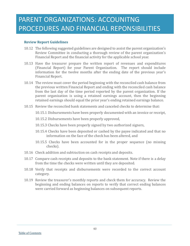#### **Review Report Guidelines**

- 10.12 The following suggested guidelines are designed to assist the parent organization's Review Committee in conducting a thorough review of the parent organization's Financial Report and the financial activity for the applicable school year.
- 10.13 Have the treasurer prepare the written report of revenues and expenditures (Financial Report) for your Parent Organization. The report should include information for the twelve months after the ending date of the previous year's Financial Report.
- 10.14 The review must cover the period beginning with the reconciled cash balance from the previous written Financial Report and ending with the reconciled cash balance from the last day of the time period reported by the parent organization. If the parent organization is using a retained earnings account, then the beginning retained earnings should equal the prior year's ending retained earnings balance.
- 10.15 Review the reconciled bank statements and canceled checks to determine that:
	- 10.15.1 Disbursements have been properly documented with an invoice or receipt,
	- 10.15.2 Disbursements have been properly approved,
	- 10.15.3 Checks have been properly signed by two authorized signers,
	- 10.15.4 Checks have been deposited or cashed by the payee indicated and that no information on the face of the check has been altered, and
	- 10.15.5 Checks have been accounted for in the proper sequence (no missing checks).
- 10.16 Check addition and subtraction on cash receipts and deposits.
- 10.17 Compare cash receipts and deposits to the bank statement. Note if there is a delay from the time the checks were written until they are deposited.
- 10.18 Verify that receipts and disbursements were recorded to the correct account category.
- 10.19 Review the treasurer's monthly reports and check them for accuracy. Review the beginning and ending balances on reports to verify that correct ending balances were carried forward as beginning balances on subsequent reports.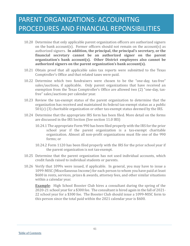- 10.20 Determine that only applicable parent organization officers are authorized signers on the bank account(s). Former officers should not remain on the account(s) as authorized signers. **In addition, the principal, the principal's secretary, or the financial secretary cannot be an authorized signer on the parent organization's bank account(s). Other District employees also cannot be authorized signers on the parent organization's bank account(s).**
- 10.21 Obtain proof that all applicable sales tax reports were submitted to the Texas Comptroller's Office and that related taxes were paid.
- 10.22 Determine which two fundraisers were chosen to be the "one-day, tax-free" sales/auctions, if applicable. Only parent organizations that have received an exemption from the Texas Comptroller's Office are allowed two (2) "one-day, taxfree" sales/auctions per calendar year.
- 10.23 Review the tax-exempt status of the parent organization to determine that the organization has received and maintained its federal tax-exempt status as a public  $501(c)$  (3) charitable organization or other tax-exempt status deemed by the IRS.
- 10.24 Determine that the appropriate IRS form has been filed. More detail on the forms are discussed in the IRS Section (See section 11.0 IRS)
	- 10.24.1 The appropriate Form 990 has been filed properly with the IRS for the prior school year if the parent organization is a tax-exempt charitable organization. Almost all non-profit organizations must file one of the 990 forms; or
	- 10.24.2 Form 1120 has been filed properly with the IRS for the prior school year if the parent organization is not tax-exempt.
- 10.25 Determine that the parent organization has not used individual accounts, which credit funds raised to individual students or parents.
- 10.26 Verify that 1099s were issued, if applicable. In general, you may have to issue a 1099-MISC (Miscellaneous Income) for each person to whom you have paid at least \$600 in rents, services, prizes & awards, attorney fees, and other similar situations within a calendar year.

**Example**: High School Booster Club hires a consultant during the spring of the 2020-21 school year for a \$300 fee. The consultant is hired again in the fall of 2021- 22 school year for a \$300 fee. The Booster Club should issue a 1099-MISC form to this person since the total paid within the 2021 calendar year is \$600.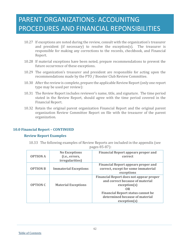- 10.27 If exceptions are noted during the review, consult with the organization's treasurer and president (if necessary) to resolve the exception(s). The treasurer is responsible for making any corrections to the records, checkbook, and Financial Report.
- 10.28 If material exceptions have been noted, prepare recommendations to prevent the future occurrence of these exceptions.
- 10.29 The organization's treasurer and president are responsible for acting upon the recommendations made by the PTO / Booster Club Review Committee.
- 10.30 After the review is complete, prepare the applicable Review Report (only one report type may be used per review):
- 10.31 The Review Report includes reviewer's name, title, and signature. The time period stated in the Review Report, should agree with the time period covered in the Financial Report.
- 10.32 Retain the original parent organization Financial Report and the original parent organization Review Committee Report on file with the treasurer of the parent organization.

### **10.0 Financial Report – CONTINUED**

#### **Review Report Examples**

10.33 The following examples of Review Reports are included in the appendix (see pages 85-87):

| <b>OPTION A</b> | <b>No Exceptions</b><br>(i.e., errors,<br><i>irregularities</i> ) | <b>Financial Report appears proper and</b><br>correct                                                                                                                                                 |
|-----------------|-------------------------------------------------------------------|-------------------------------------------------------------------------------------------------------------------------------------------------------------------------------------------------------|
| <b>OPTION B</b> | <b>Immaterial Exceptions</b>                                      | <b>Financial Report appears proper and</b><br>correct, except for some immaterial<br>exceptions                                                                                                       |
| <b>OPTION C</b> | <b>Material Exceptions</b>                                        | <b>Financial Report does not appear proper</b><br>and correct because of material<br>exception(s)<br>OR<br><b>Financial Report status cannot be</b><br>determined because of material<br>exception(s) |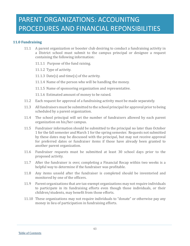### **11.0 Fundraising**

- 11.1 A parent organization or booster club desiring to conduct a fundraising activity in a District school must submit to the campus principal or designee a request containing the following information:
	- 11.1.1 Purpose of the fund raising.
	- 11.1.2 Type of activity.
	- 11.1.3 Date(s) and time(s) of the activity.
	- 11.1.4 Name of the person who will be handling the money.
	- 11.1.5 Name of sponsoring organization and representative.
	- 11.1.6 Estimated amount of money to be raised.
- 11.2 Each request for approval of a fundraising activity must be made separately.
- 11.3 All fundraisers must be submitted to the school principal for approval prior to being scheduled by a parent organization.
- 11.4 The school principal will set the number of fundraisers allowed by each parent organization on his/her campus.
- 11.5 Fundraiser information should be submitted to the principal no later than October 1 for the fall semester and March 1 for the spring semester. Requests not submitted by these dates may be discussed with the principal, but may not receive approval for preferred dates or fundraiser items if those have already been granted to another parent organization.
- 11.6 Fundraiser requests must be submitted at least 30 school days prior to the proposed activity.
- 11.7 After the fundraiser is over, completing a Financial Recap within two weeks is a helpful way to determine if the fundraiser was profitable.
- 11.8 Any items unsold after the fundraiser is completed should be inventoried and monitored by one of the officers.
- 11.9 Parent organizations that are tax-exempt organizations may not require individuals to participate in its fundraising efforts even though those individuals, or their children/students, may benefit from those efforts.
- 11.10 These organizations may not require individuals to "donate" or otherwise pay any money in lieu of participation in fundraising efforts.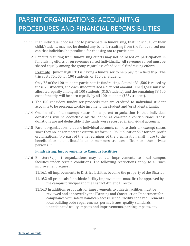- 11.11 If an individual chooses not to participate in fundraising, that individual, or their child/student, may not be denied any benefit resulting from the funds raised nor can that individual be penalized for choosing not to participate.
- 11.12 Benefits resulting from fundraising efforts may not be based on participation in fundraising efforts or on revenues raised individually. All revenues raised must be shared equally among the group regardless of individual fundraising efforts.

**Example**: Junior High PTO is having a fundraiser to help pay for a field trip. The trip costs \$5,000 for 100 students, or \$50 per student.

Only 75 of the 100 students participate in fundraising. A total of \$1,500 is raised by these 75 students, and each student raised a different amount. The \$1,500 must be allocated equally among all 100 students (\$15/student), and the remaining \$3,500 cost of the trip will be born equally by all 100 students (\$35/student).

- 11.13 The IRS considers fundraiser proceeds that are credited to individual student accounts to be personal taxable income to the student and/or student's family.
- 11.14 One benefit of tax-exempt status for a parent organization is that individual donations will be deductible by the donor as charitable contributions. These donations are not deductible if the funds were recorded in individual accounts.
- 11.15 Parent organizations that use individual accounts can lose their tax-exempt status since they no longer meet the criteria set forth in IRS Publication 557 for non-profit organizations, "No part of the net earnings of the organization shall inure to the benefit of, or be distributable to, its members, trustees, officers or other private persons…"

#### **Fundraising: Improvements to Campus Facilities**

- 11.16 Booster/Support organizations may donate improvements to local campus facilities under certain conditions. The following restrictions apply to all such improvement request:
	- 11.16.1 All improvements to District facilities become the property of the District.
	- 11.16.2 All proposals for athletic facility improvements must first be approved by the campus principal and the District Athletic Director.
	- 11.16.3 In addition, proposals for improvements to athletic facilities must be reviewed and approved by the Planning and Construction Department for compliance with safety, handicap access, school facility code requirements, local building code requirements, permit issues, quality standards, unanticipated utility impacts and improvements, parking impacts, etc.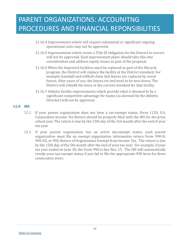- 11.16.4 Improvements which will require substantial or significant ongoing operational costs may not be approved.
- 11.16.5 Improvements which create a Title IX obligation for the District to correct will not be approved. Such improvement plans should take this into consideration and address equity issues as part of the proposal.
- 11.16.6 When the improved facilities must be replaced as part of the lifecycle program, the District will replace the facility at the District standard. For example, baseball and softball chain link fences are replaced by wood fences. After years of use, the fences rot and need to be torn down. The District will rebuild the fence at the current standard for that facility.
- 11.16.7 Athletic facility improvements which provide what is deemed to be a significant competitive advantage for teams (as deemed by the Athletic Director) will not be approved.

#### **12.0 IRS**

- 12.1 If your parent organization does not have a tax-exempt status, Form 1120, U.S. Corporation Income Tax Return should be properly filed with the IRS for the prior school year. The return is due by the 15th day of the 3rd month after the end of your tax year.
- 12.2 If your parent organization has an active tax-exempt status, each parent organization must file an exempt organization information return Form 990-N, 990-EZ, or 990, Return of Organization Exempt from Income Tax. The return is due by the 15th day of the 5th month after the end of your tax year. For example, if your tax year ended on June 30, the Form 990 is due Nov. 15. The IRS will automatically revoke your tax-exempt status if you fail to file the appropriate 990 form for three consecutive years.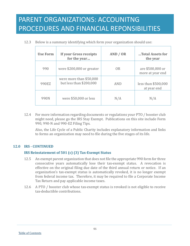12.3 Below is a summary identifying which form your organization should use:

| <b>Use Form</b> | If your Gross receipts<br>for the year             | AND / OR   | Total Assets for<br>the year         |
|-----------------|----------------------------------------------------|------------|--------------------------------------|
| 990             | were \$200,000 or greater                          | <b>OR</b>  | are \$500,000 or<br>more at year end |
| 990EZ           | were more than \$50,000<br>but less than \$200,000 | <b>AND</b> | less than \$500,000<br>at year end   |
| 990N            | were \$50,000 or less                              | N/A        | N/A                                  |

12.4 For more information regarding documents or regulations your PTO / booster club might need, please go the IRS Stay Exempt. Publications on this site include Form 990, 990-N and 990-EZ Filing Tips.

Also, the Life Cycle of a Public Charity includes explanatory information and links to forms an organization may need to file during the five stages of its life.

### **12.0 IRS - CONTINUED**

### **IRS Reinstatement of 501 (c) (3) Tax-Exempt Status**

- 12.5 An exempt parent organization that does not file the appropriate 990 form for three consecutive years automatically lose their tax-exempt status. A revocation is effective on the original filing due date of the third annual return or notice. If an organization's tax-exempt status is automatically revoked, it is no longer exempt from federal income tax. Therefore, it may be required to file a Corporate Income Tax Return and pay applicable income taxes.
- 12.6 A PTO / booster club whose tax-exempt status is revoked is not eligible to receive tax-deductible contributions.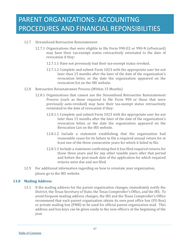- 12.7 Streamlined Retroactive Reinstatement
	- 12.7.1 Organizations that were eligible to file Form 990-EZ or 990-N (ePostcard) may have their tax-exempt status retroactively reinstated to the date of revocation if they:
		- 12.7.1.1 Have not previously had their tax-exempt status revoked.
		- 12.7.1.2 Complete and submit Form 1023 with the appropriate user fee not later than 15 months after the later of the date of the organization's revocation letter, or the date the organization appeared on the revocation list on the IRS website.
- 12.8 Retroactive Reinstatement Process (Within 15 Months)
	- 12.8.1 Organizations that cannot use the Streamlined Retroactive Reinstatement Process (such as those required to file Form 990 or those that were previously auto-revoked) may have their tax-exempt status retroactively reinstated to the date of revocation if they:
		- 12.8.1.1 Complete and submit Form 1023 with the appropriate user fee not later than 15 months after the later of the date of the organization's revocation letter, or the date the organization appeared on the Revocation List on the IRS website.
		- 12.8.1.2 Include a statement establishing that the organization had reasonable cause for its failure to file a required annual return for at least one of the three consecutive years for which it failed to file.
		- 12.8.1.3 Include a statement confirming that it has filed required returns for those three years and for any other taxable years after that period and before the post-mark date of the application for which required returns were due and not filed.
- 12.9 For additional information regarding on how to reinstate your organization, please go to the IRS website.

### **13.0 Mailing Address**

13.1 If the mailing address for the parent organization changes, immediately notify the District, the Texas Secretary of State, the Texas Comptroller's Office, and the IRS. To avoid frequent mailing address changes, the IRS and the Texas Comptroller's Office recommend that each parent organization obtain its own post office box (PO Box) or private mailing box (PMB) to be used for official parent organization mail. This address and box keys can be given easily to the new officers at the beginning of the year.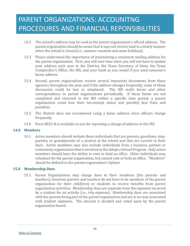- 13.2 The school's address may be used as the parent organization's official address. The parent organization should be aware that it may not receive mail in a timely manner when the school is closed (i.e., summer vacation and some holidays).
- 13.3 Please understand the importance of maintaining a consistent mailing address for the parent organization. First, you will save time since you will not have to update your address each year to the District, the Texas Secretary of State, the Texas Comptroller's Office, the IRS, and your bank as you would if you used someone's home address.
- 13.4 Second, parent organizations receive several important documents from these agencies throughout the year, and if the address changes frequently, some of these documents could be lost or misplaced. The IRS mails forms and other correspondence to parent organizations periodically. If these forms are not completed and returned to the IRS within a specific time period, a parent organization could lose their tax-exempt status and possibly face fines and penalties.
- 13.5 The District does not recommend using a home address since officers change frequently.
- 13.6 Form 8822-B is available to you for reporting a change of address to the IRS.

#### **14.0 Members**

14.1 Active members should include those individuals that are parents, guardians, stepparents, or grandparents of a student at the school and that are current in their dues. Active members may also include individuals from a business partner or community organization that is involved in the Adopt a School Program. Only active members should have the ability to vote or hold an office. Other individuals may volunteer for the parent organization, but cannot vote or hold an office. "Members" should be defined in the parent organization's bylaws.

### **15.0 Membership Dues**

15.1 Parent Organizations may charge dues to their members (the parents and teachers); however, parents and teachers do not have to be members of the parent organization for their child(ren) or students to receive benefits from parent organization activities. Membership dues are separate from the expenses incurred by a student for an activity (i.e., trip expense). Membership dues are associated with the parents being part of the parent organization and are in no way associated with student expenses. The amount is decided and voted upon by the parent organization board.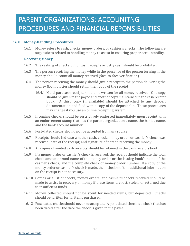### **16.0 Money-Handling Procedures**

16.1 Money refers to cash, checks, money orders, or cashier's checks. The following are suggestions related to handling money to assist in ensuring proper accountability.

#### **Receiving Money**

- 16.2 The cashing of checks out of cash receipts or petty cash should be prohibited.
- 16.3 The person receiving the money while in the presence of the person turning in the money should count all money received (face-to-face verification).
- 16.4 The person receiving the money should give a receipt to the person delivering the money (both parties should retain their copy of the receipt).
	- 16.4.1 Multi-part cash receipts should be written for all money received. One copy should be given to the payee and another copy maintained in the cash receipt book. A third copy (if available) should be attached to any deposit documentation and filed with a copy of the deposit slip. These procedures may change if you use an online receipting system.
- 16.5 Incoming checks should be restrictively endorsed immediately upon receipt with an endorsement stamp that has the parent organization's name, the bank's name, and the bank account number.
- 16.6 Post-dated checks should not be accepted from any source.
- 16.7 Receipts should indicate whether cash, check, money order, or cashier's check was received; date of the receipt; and signature of person receiving the money.
- 16.8 All copies of voided cash receipts should be retained in the cash receipts book.
- 16.9 If a money order or cashier's check is received, the receipt should indicate the total check amount; brand name of the money order or the issuing bank's name of the cashier's check; and the complete check or money order number. If a copy of the money order or cashier's check is made, the inclusion of this additional information on the receipt is not necessary.
- 16.10 Copies or a list of checks, money orders, and cashier's checks received should be made to assist in recovery of money if these items are lost, stolen, or returned due to insufficient funds.
- 16.11 Money collected should not be spent for needed items, but deposited. Checks should be written for all items purchased.
- 16.12 Post-dated checks should never be accepted. A post-dated check is a check that has been dated after the date the check is given to the payee.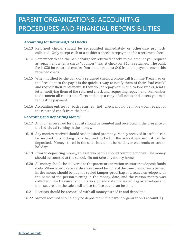### **Accounting for Returned/Hot Checks**

- 16.13 Returned checks should be redeposited immediately or otherwise promptly collected. Only accept cash or a cashier's check in repayment for a returned check.
- 16.14 Remember to add the bank charge for returned checks to the amount you request as repayment when a check "bounces". Ex: A check for \$10 is returned. The bank fee is \$30 for returned checks. You should request \$40 from the payee to cover this returned check.
- 16.15 When notified by the bank of a returned check, a phone call from the Treasurer or the President to the payer is the quickest way to notify them of their "bad check" and request their repayment. If they do not repay within one-to-two weeks, send a letter notifying them of the returned check and requesting repayment. Remember to document all collection efforts and keep a copy of all notes and letters you mail requesting payment.
- 16.16 Accounting entries for each returned (hot) check should be made upon receipt of the returned check from the bank.

#### **Recording and Depositing Money**

- 16.17 All monies received for deposit should be counted and receipted in the presence of the individual turning in the money.
- 16.18 Any monies received should be deposited promptly. Money received in a school can be secured in a locking bank bag and locked in the school safe until it can be deposited. Money stored in the safe should not be held over weekends or school holidays.
- 16.19 Prior to depositing money, at least two people should count the money. The money should be counted at the school. Do not take any money home.
- 16.20 All money should be delivered to the parent organization treasurer to deposit funds daily. When face-to-face verification cannot be done at the time the money is turned in, the money should be put in a sealed tamper-proof bag or a sealed envelope with the name of the person turning in the money, date, and the reason money was collected. The treasurer should also sign and date the sealed bag or envelope and then secure it in the safe until a face-to-face count can be done.
- 16.21 Receipts should be reconciled with all money turned in and deposited.
- 16.22 Money received should only be deposited in the parent organization's account(s).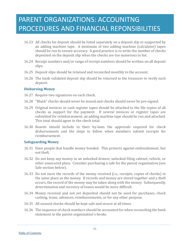- 16.23 All checks for deposit should be listed separately on a deposit slip or supported by an adding machine tape. A minimum of two adding machine (calculator) tapes should be run to ensure accuracy. A good practice is to write the number of checks deposited on the deposit slip when the checks are too numerous to list.
- 16.24 Receipt numbers and/or range of receipt numbers should be written on all deposit slips.
- 16.25 Deposit slips should be retained and reconciled monthly to the account.
- 16.26 The bank validated deposit slip should be returned to the treasurer to verify each deposit.

#### **Disbursing Money**

- 16.27 Require two signatures on each check.
- 16.28 "Blank" checks should never be issued and checks should never be pre-signed.
- 16.29 Original invoices or cash register tapes should be attached to the file copies of all checks as support for the payment. If several invoices or register tapes are submitted for reimbursement, an adding machine tape should be run and attached. This total should agree to the check total.
- 16.30 Boards should include in their by-laws the approvals required for check disbursements and the steps to follow when members submit receipts for reimbursement.

#### **Safeguarding Money**

- 16.31 Have people that handle money bonded. This protects against embezzlement, but not theft.
- 16.32 Do not keep any money in an unlocked drawer, unlocked filing cabinet, vehicle, or other unsecured place. Consider purchasing a safe for the parent organization (see Safe section below).
- 16.33 Do not store the records of the money received (i.e., receipts, copies of checks) in the same place as the money. If records and money are stored together and a theft occurs, the record of the money may be taken along with the money. Subsequently, determination and recovery of losses would be more difficult.
- 16.34 Money received and not yet deposited should not be used for purchases, check cashing, loans, advances, reimbursements, or for any other purpose.
- 16.35 All unused checks should be kept safe and secure at all times.
- 16.36 The sequence of check numbers should be accounted for when reconciling the bank statement to the parent organization's books.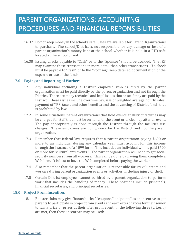- 16.37 Do not keep money in the school's safe. Safes are available for Parent Organizations to purchase. The school/District is not responsible for any damage or loss of a parent organization's money kept at the school whether it is held in a PTO safe located at the school or not.
- 16.38 Issuing checks payable to "Cash" or to the "Sponsor" should be avoided. The IRS may examine these transactions in more detail than other transactions. If a check must be payable to "Cash" or to the "Sponsor," keep detailed documentation of the expense or use of the funds.

### **17.0 Paying and Reporting of Workers**

- 17.1 Any individual including a District employee who is hired by the parent organization must be paid directly by the parent organization and not through the District. There are many technical and legal issues that arise if they are paid by the District. These issues include overtime pay; use of weighted average hourly rates; payment of TRS, taxes, and other benefits; and the advancing of District funds that is prohibited by law.
- 17.2 In some situations, parent organizations that hold events at District facilities may be charged for staff that must be on hand for the event or to clean up after an event. The pay appropriately is done through the District through the facilities use charges. These employees are doing work for the District and not the parent organization.
- 17.3 Remember that federal law requires that a parent organization paying \$600 or more to an individual during any calendar year must account for this income through the issuance of a 1099 form. This includes an individual who is paid \$600 or more for "cultural arts events." The parent organization will need to get social security numbers from all workers. This can be done by having them complete a W-9 form. It is best to have the W-9 completed before paying the worker.
- 17.4 Also remember that the parent organization is responsible for its volunteers and workers during parent organization events or activities, including injury or theft.
- 17.5 Certain District employees cannot be hired by a parent organization to perform work that includes the handling of money. These positions include principals, financial secretaries, and principal secretaries.

#### **18.0 Project Prom Incentives**

18.1 Booster clubs may give "bonus bucks," "coupons," or "points" as an incentive to get parents to participate in project prom events and earn extra chances for their senior to win a prize or prizes at their after prom event. If the following three (criteria) are met, then these incentives may be used: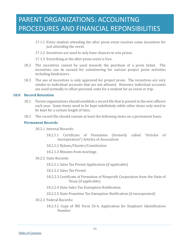- 17.1.1 Every student attending the after prom event receives some incentives for just attending the event.
- 17.1.2 Incentives are used to only have chances to win prizes.
- 17.1.3 Everything at the after prom event is free.
- 18.2 The incentives cannot be used towards the purchase of a prom ticket. The incentives can be earned for volunteering for various project prom activities including fundraisers.
- 18.3 The use of incentives is only approved for project prom. The incentives are very similar to individual accounts that are not allowed. However, individual accounts are used normally to offset personal costs for a student for an event or trip.

#### **18.0 Record Retention**

- 18.1 Parent organizations should establish a record file that is passed to the new officers each year. Some items need to be kept indefinitely while other items only need to be kept for a certain length of time.
- 18.2 The record file should contain at least the following items on a permanent basis:

#### **Permanent Records**

18.2.1 Internal Records:

- 18.2.1.1 Certificate of Formation (formerly called "Articles of Incorporation") Articles of Association
- 18.2.1.2 Bylaws/Charter/Constitution
- 18.2.1.3 Minutes from meetings
- 18.2.2 State Records:

18.2.2.1 Sales Tax Permit Application (if applicable)

- 18.2.2.2 Sales Tax Permit
- 18.2.2.3 Certificate of Formation of Nonprofit Corporation from the State of Texas (if applicable)
- 18.2.2.4 State Sales Tax Exemption Notification
- 18.2.2.5 State Franchise Tax Exemption Notification (if incorporated)
- 18.2.3 Federal Records**:**
	- 18.2.3.1 Copy of IRS Form SS-4, Application for Employer Identification Number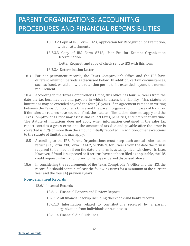- 18.2.3.2 Copy of IRS Form 1023, Application for Recognition of Exemption, with all attachments
- 18.2.3.3 Copy of IRS Form 8718, User Fee for Exempt Organization **Determination**

Letter Request, and copy of check sent to IRS with this form

#### 18.2.3.4 Determination Letter

18.3 For non-permanent records, the Texas Comptroller's Office and the IRS have different retention periods as discussed below. In addition, certain circumstances, such as fraud, would allow the retention period to be extended beyond the normal requirement.

18.4 According to the Texas Comptroller's Office, this office has four (4) years from the date the tax becomes due and payable in which to assess the liability. This statute of limitations may be extended beyond the four (4) years, if an agreement is made in writing between the Texas Comptroller's Office and the parent organization. In cases of fraud, or if the sales tax returns have not been filed, the statute of limitations does not apply and the Texas Comptroller's Office may assess and collect taxes, penalties, and interest at any time. The statute of limitations does not apply when information contained in the sales tax report contains a gross error and the amount of tax due and payable after the error is corrected is 25% or more than the amount initially reported. In addition, other exceptions to the statute of limitations may apply.

- 18.5 According to the IRS, Parent Organizations must keep each annual information return (i.e., Form 990, Form 990-EZ, or 990-N) for 3 years from the date the form is required to be filed or from the date the form is actually filed, whichever is later. However, if fraud is suspected or if returns have not been filed as applicable, the IRS could request information prior to the 3-year period discussed above.
- 18.6 In considering the requirements of the Texas Comptroller's Office and the IRS, the record file should contain at least the following items for a minimum of the current year and the four (4) previous years:

#### **Non-permanent Records**

18.6.1 Internal Records

18.6.1.1 Financial Reports and Review Reports

- 18.6.1.2 All financial backup including checkbook and banks records
- 18.6.1.3 Information related to contributions received by a parent organization from individuals or businesses
- 18.6.1.4 Financial Aid Guidelines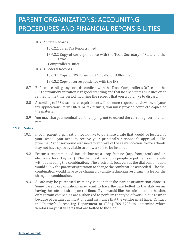18.6.2 State Records

18.6.2.1 Sales Tax Reports Filed

18.6.2.2 Copy of correspondence with the Texas Secretary of State and the Texas

Comptroller's Office

18.6.3 Federal Records

18.6.3.1 Copy of IRS Forms 990, 990-EZ, or 990-N filed

18.6.3.2 Copy of correspondence with the IRS

- 18.7 Before discarding any records, confirm with the Texas Comptroller's Office and the IRS that your organization is in good-standing and that no open items or issues exist related to the time period involving the records that you would like to discard.
- 18.8 According to IRS disclosure requirements, if someone requests to view any of your tax applications, forms filed, or tax returns, you must provide complete copies of the material.
- 18.9 You may charge a nominal fee for copying, not to exceed the current governmental rate.

#### **19.0 Safes**

- 19.1 If your parent organization would like to purchase a safe that would be located at your school, you need to receive your principal's / sponsor's approval. The principal / sponsor would also need to approve of the safe's location. Some schools may not have space available to allow a safe to be installed.
- 19.2 Features recommended include having a drop feature (top, front, rear) and an electronic lock (key pad). The drop feature allows people to put items in the safe without needing the combination. The electronic lock versus the dial combination would allow the parent organization to change the combination as needed. The dial combination would have to be changed by a safe technician resulting in a fee for the change in combination.
- 19.3 A safe may be purchased from any vendor that the parent organization chooses. Some parent organizations may want to have the safe bolted to the slab versus having the safe just sitting on the floor. If you would like the safe bolted to the slab, only certain companies are authorized to perform that type of work in our District because of certain qualifications and insurance that the vendor must have. Contact the District's Purchasing Department at (936) 709-7705 to determine which vendors may install safes that are bolted to the slab.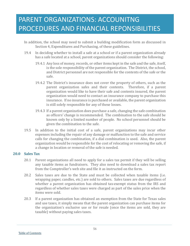- In addition, the school may need to submit a building modification form as discussed in Section 4, Expenditures and Purchasing, of these guidelines.
- 19.4 In deciding whether to install a safe at a school or if a parent organization already has a safe located at a school, parent organizations should consider the following:
	- 19.4.1 Any loss of money, records, or other items kept in the safe and the safe, itself, is the sole responsibility of the parent organization. The District, the school, and District personnel are not responsible for the contents of the safe or the safe.
	- 19.4.2 The District's insurance does not cover the property of others, such as the parent organization safes and their contents. Therefore, if a parent organization would like to have their safe and contents insured, the parent organization would need to contact an insurance company to purchase this insurance. If no insurance is purchased or available, the parent organization is still solely responsible for any of these losses.
	- 19.4.3 If a parent organization does purchase a safe, changing the safe combination as officers' change is recommended. The combination to the safe should be known only by a limited number of people. No school personnel should be given the combination to the safe.
- 19.5 In addition to the initial cost of a safe, parent organizations may incur other expenses including the repair of any damage or malfunction to the safe and service calls for changing the combination, if a dial combination is used. Also, the parent organization would be responsible for the cost of relocating or removing the safe, if a change in location or removal of the safe is needed.

### **20.0 Sales Tax**

- 20.1 Parent organizations all need to apply for a sales tax permit if they will be selling any taxable items as fundraisers. They also need to download a sales tax report from the Comptroller's web site and file it as instructed on the form.
- 20.2 Sales taxes are due to the State and must be collected when taxable items (i.e. wrapping paper, candles, etc.) are sold to others. Sales taxes are due regardless of whether a parent organization has obtained tax-exempt status from the IRS and regardless of whether sales taxes were charged as part of the sales price when the items were sold.
- 20.3 If a parent organization has obtained an exemption from the State for Texas sales and use taxes, it simply means that the parent organization can purchase items for the organization's exclusive use or for resale (once the items are sold, they are taxable) without paying sales taxes.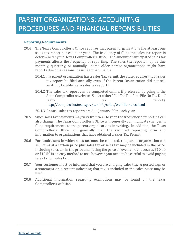### **Reporting Requirements**

- 20.4 The Texas Comptroller's Office requires that parent organizations file at least one sales tax report per calendar year. The frequency of filing the sales tax report is determined by the Texas Comptroller's Office. The amount of anticipated sales tax payments affects the frequency of reporting. The sales tax reports may be due monthly, quarterly, or annually. Some older parent organizations might have reports due on a seasonal basis (semi-annually).
	- 20.4.1 If a parent organization has a Sales Tax Permit, the State requires that a sales tax report be filed annually even if the Parent Organization did not sell anything taxable (zero sales tax report).
	- 20.4.2 The sales tax report can be completed online, if preferred, by going to the State Comptroller's website. Select either "File Tax Due" or "File No Tax Due" (zero tax report). [http://comptroller.texas.gov/taxinfo/sales/webfile\\_sales.html](http://comptroller.texas.gov/taxinfo/sales/webfile_sales.html)

20.4.3 Annual sales tax reports are due January 20th each year.

- 20.5 Since sales tax payments may vary from year to year, the frequency of reporting can also change. The Texas Comptroller's Office will generally communicate changes in filing requirements to the parent organizations in writing. In addition, the Texas Comptroller's Office will generally mail the required reporting form and information to organizations that have obtained a Sales Tax Permit.
- 20.6 For fundraisers in which sales tax must be collected, the parent organization can sell items at a certain price plus sales tax or sales tax may be included in the price. Including sales tax in the price and having the price an even amount such as \$10.00 or \$10.50 is an easy method to use; however, you need to be careful to avoid paying sales tax on sales tax.
- 20.7 Your customer must be informed that you are charging sales tax. A posted sign or a statement on a receipt indicating that tax is included in the sales price may be used.
- 20.8 Additional information regarding exemptions may be found on the Texas Comptroller's website.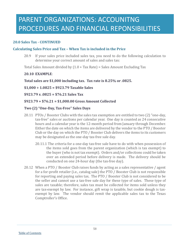### **20.0 Sales Tax - CONTINUED**

#### **Calculating Sales Price and Tax – When Tax is included in the Price**

20.9 If your sales price included sales tax, you need to do the following calculation to determine your correct amount of sales and sales tax:

Total Sales Amount divided by (1.0 + Tax Rate) = Sales Amount Excluding Tax

#### **20.10 EXAMPLE**:

#### **Total sales are \$1,000 including tax. Tax rate is 8.25% or .0825.**

**\$1,000 ÷ 1.0825 = \$923.79 Taxable Sales**

**\$923.79 x .0825 = \$76.21 Sales Tax**

#### **\$923.79 + \$76.21 = \$1,000.00 Gross Amount Collected**

#### **Two (2) "One-Day, Tax-Free" Sales Days**

- 20.11 PTOs / Booster Clubs with the sales tax exemption are entitled to two (2) "one-day, tax-free" sales or auctions per calendar year. One day is counted as 24 consecutive hours and a calendar year is the 12-month period from January through December. Either the date on which the items are delivered by the vendor to the PTO / Booster Club or the day on which the PTO / Booster Club delivers the items to its customers may be designated as the one-day tax-free sale day.
	- 20.11.1 The criteria for a one-day tax-free sale have to do with when possession of the items sold goes from the parent organization (which is tax exempt) to the buyer (who is not tax exempt). Orders and/or collections could be taken over an extended period before delivery is made. The delivery should be conducted on one 24-hour day (the tax-free day).
- 20.12 When a PTO / Booster Club raises funds by acting as a sales representative / agent for a for-profit retailer (i.e., catalog sale) the PTO / Booster Club is not responsible for reporting and paying sales tax. The PTO / Booster Club is not considered to be the seller and cannot use a tax-free sale day for these type of sales. These type of sales are taxable; therefore, sales tax must be collected for items sold unless they are tax-exempt by law. For instance, gift wrap is taxable, but cookie dough is taxexempt by law. The vendor should remit the applicable sales tax to the Texas Comptroller's Office.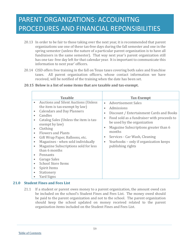- 20.13 In order to be fair to those taking over the next year, it is recommended that parent organizations use one of these tax-free days during the fall semester and one in the spring semester (unless the nature of a particular parent organization is to have all fundraisers in the same semester). That way next year's parent organization still has one tax- free day left for that calendar year. It is important to communicate this information to next year' officers.
- 20.14 CISD offers free training in the fall on Texas taxes covering both sales and franchise taxes. All parent organization officers, whose contact information we have received, will be notified of the training when the date has been set.

| <b>Taxable</b>                                                                                                                                                                                                                                                                                                                                                                                                                                                                                                                                                                              | <b>Tax-Exempt</b>                                                                                                                                                                                                                                                                                                                                                                                        |
|---------------------------------------------------------------------------------------------------------------------------------------------------------------------------------------------------------------------------------------------------------------------------------------------------------------------------------------------------------------------------------------------------------------------------------------------------------------------------------------------------------------------------------------------------------------------------------------------|----------------------------------------------------------------------------------------------------------------------------------------------------------------------------------------------------------------------------------------------------------------------------------------------------------------------------------------------------------------------------------------------------------|
| <b>Auctions and Silent Auctions (Unless</b> )<br>$\bullet$<br>the item is tax-exempt by law)<br><b>Calendars and Day Planners</b><br>$\bullet$<br>Candles<br>$\bullet$<br>Catalog Sales (Unless the item is tax-<br>$\bullet$<br>exempt by law)<br>Clothing<br>$\bullet$<br><b>Flowers and Plants</b><br>$\bullet$<br>Gift Wrap Paper, Balloons, etc.<br>$\bullet$<br>Magazines - when sold individually<br>$\bullet$<br>Magazine Subscriptions sold for less<br>$\bullet$<br>than 6 months<br>Pennants<br>$\bullet$<br>Garage Sales<br>$\bullet$<br><b>School Store Items</b><br>$\bullet$ | Advertisement Sales<br>$\bullet$<br>Admissions<br>$\bullet$<br>Discount / Entertainment Cards and Books<br>$\bullet$<br>Food sold as a fundraiser with proceeds to<br>$\bullet$<br>be used by the organization<br>Magazine Subscriptions greater than 6<br>$\bullet$<br>months<br>Services - Car Wash, Cleaning<br>$\bullet$<br>Yearbooks – only if organization keeps<br>$\bullet$<br>publishing rights |
| Spirit Items<br>$\bullet$<br>Stationery<br>$\bullet$<br>Yard Signs                                                                                                                                                                                                                                                                                                                                                                                                                                                                                                                          |                                                                                                                                                                                                                                                                                                                                                                                                          |

### **20.15 Below is a list of some items that are taxable and tax-exempt.**

### **21.0 Student Fines and Fees List**

21.1 If a student or parent owes money to a parent organization, the amount owed can be included on the school's Student Fines and Fees List. The money owed should be paid to the parent organization and not to the school. The parent organization should keep the school updated on money received related to the parent organization items included on the Student Fines and Fees List.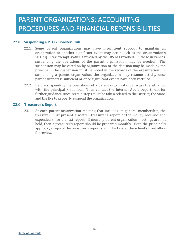### **22.0 Suspending a PTO / Booster Club**

- 22.1 Some parent organizations may have insufficient support to maintain an organization or another significant event may occur such as the organization's  $501(c)(3)$  tax-exempt status is revoked by the IRS has revoked. In these instances, suspending the operations of the parent organization may be needed. The suspension may be voted on by organization or the decision may be made by the principal. The suspension must be noted in the records of the organization. In suspending a parent organization, the organization may resume activity once parent support is sufficient or once significant events have been rectified.
- 22.2 Before suspending the operations of a parent organization, discuss the situation with the principal / sponsor. Then contact the Internal Audit Department for further guidance since certain steps must be taken related to the District, the State, and the IRS to properly suspend the organization.

#### **23.0 Treasurer's Report**

23.1 At each parent organization meeting that includes its general membership, the treasurer must present a written treasurer's report of the money received and expended since the last report. If monthly parent organization meetings are not held, then a treasurer's report should be prepared monthly. With the principal's approval, a copy of the treasurer's report should be kept at the school's front office for review.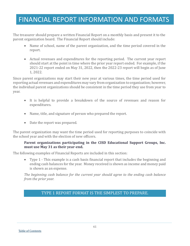The treasurer should prepare a written Financial Report on a monthly basis and present it to the parent organization board. The Financial Report should include:

- Name of school, name of the parent organization, and the time period covered in the report.
- Actual revenues and expenditures for the reporting period. The current year report should start at the point in time where the prior year report ended. For example, if the 2021-22 report ended on May 31, 2022, then the 2022-23 report will begin as of June 1, 2022.

Since parent organizations may start their new year at various times, the time period used for reporting actual revenues and expenditures may vary from organization to organization; however, the individual parent organizations should be consistent in the time period they use from year to year.

- It is helpful to provide a breakdown of the source of revenues and reason for expenditures.
- Name, title, and signature of person who prepared the report.
- Date the report was prepared.

The parent organization may want the time period used for reporting purposes to coincide with the school year and with the election of new officers.

### **Parent organizations participating in the CISD Educational Support Groups, Inc. must use May 31 as their year-end.**

The following examples of Financial Reports are included in this section:

• Type 1 - This example is a cash basis financial report that includes the beginning and ending cash balances for the year. Money received is shown as income and money paid is shown as an expense.

*The beginning cash balance for the current year should agree to the ending cash balance from the prior year.*

### TYPE 1 REPORT FORMAT IS THE SIMPLEST TO PREPARE.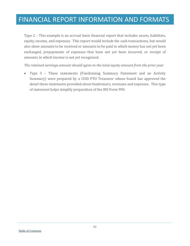Type 2 – This example is an accrual basis financial report that includes assets, liabilities, equity, income, and expenses. This report would include the cash transactions, but would also show amounts to be received or amounts to be paid in which money has not yet been exchanged, prepayments of expenses that have not yet been incurred, or receipt of amounts in which income is not yet recognized.

*The retained earnings amount should agree to the total equity amount from the prior year.*

• Type 3 – These statements (Fundraising Summary Statement and an Activity Summary) were prepared by a CISD PTO Treasurer whose board has approved the detail these statements provided about fundraisers, revenues and expenses. This type of statement helps simplify preparation of the IRS Form 990.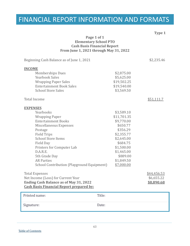| Type 1<br>Page 1 of 1<br><b>Elementary School PTO</b><br><b>Cash Basis Financial Report</b><br>From June 1, 2021 through May 31, 2022                                                                                                                                                                                 |                                                                                                                                                                             |                                         |  |
|-----------------------------------------------------------------------------------------------------------------------------------------------------------------------------------------------------------------------------------------------------------------------------------------------------------------------|-----------------------------------------------------------------------------------------------------------------------------------------------------------------------------|-----------------------------------------|--|
| Beginning Cash Balance as of June 1, 2021                                                                                                                                                                                                                                                                             |                                                                                                                                                                             | \$2,235.46                              |  |
| <b>INCOME</b><br><b>Memberships Dues</b><br><b>Yearbook Sales</b><br><b>Wrapping Paper Sales</b><br><b>Entertainment Book Sales</b><br><b>School Store Sales</b>                                                                                                                                                      | \$2,875.00<br>\$5,625.00<br>\$19,502.25<br>\$19,540.00<br>\$3,569.50                                                                                                        |                                         |  |
| <b>Total Income</b>                                                                                                                                                                                                                                                                                                   |                                                                                                                                                                             | \$51,111.7                              |  |
| <b>EXPENSES</b><br>Yearbooks<br><b>Wrapping Paper</b><br><b>Entertainment Books</b><br>Miscellaneous Expenses<br>Postage<br><b>Field Trips</b><br><b>School Store Items</b><br>Field Day<br>Printers for Computer Lab<br>D.A.R.E.<br>5th Grade Day<br><b>AR Parties</b><br>School Contribution (Playground Equipment) | \$3,589.10<br>\$11,701.35<br>\$9,770.00<br>\$650.77<br>\$356.29<br>\$2,355.77<br>\$2,645.00<br>\$684.75<br>\$1,500.00<br>\$1,465.00<br>\$889.00<br>\$1,849.50<br>\$7,000.00 |                                         |  |
| <b>Total Expenses</b><br>Net Income (Loss) for Current Year<br><b>Ending Cash Balance as of May 31, 2022</b><br><b>Cash Basis Financial Report prepared by:</b>                                                                                                                                                       |                                                                                                                                                                             | \$44,456.53<br>\$6,655.22<br>\$8,890.68 |  |
| Printed name:                                                                                                                                                                                                                                                                                                         | Title:                                                                                                                                                                      |                                         |  |
| Signature:                                                                                                                                                                                                                                                                                                            | Date:                                                                                                                                                                       |                                         |  |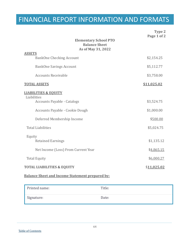| <b>Elementary School PTO</b><br><b>Balance Sheet</b><br>As of May 31, 2022                                                                                                        | Type 2<br>Page 1 of 2                              |
|-----------------------------------------------------------------------------------------------------------------------------------------------------------------------------------|----------------------------------------------------|
| <b>ASSETS</b><br><b>BankOne Checking Account</b>                                                                                                                                  | \$2,154.25                                         |
| <b>BankOne Savings Account</b>                                                                                                                                                    | \$5,112.77                                         |
| <b>Accounts Receivable</b>                                                                                                                                                        | \$3,758.00                                         |
| <b>TOTAL ASSETS</b>                                                                                                                                                               | \$11,025.02                                        |
| <b>LIABILITIES &amp; EOUITY</b><br>Liabilities<br><b>Accounts Payable - Catalogs</b><br>Accounts Payable - Cookie Dough<br>Deferred Membership Income<br><b>Total Liabilities</b> | \$3,524.75<br>\$1,000.00<br>\$500.00<br>\$5,024.75 |
| Equity<br><b>Retained Earnings</b><br>Net Income (Loss) From Current Year                                                                                                         | \$1,135.12<br>\$4,865.15                           |
| <b>Total Equity</b>                                                                                                                                                               | \$6,000.27                                         |
| <b>TOTAL LIABILITIES &amp; EQUITY</b>                                                                                                                                             | \$11,025.02                                        |

### **Balance Sheet and Income Statement prepared by:**

| Printed name: | Title: |
|---------------|--------|
| Signature:    | Date:  |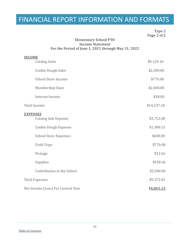**Type 2 Page 2 of 2**

### **Elementary School PTO Income Statement For the Period of June 1, 2021 through May 31, 2022**

| <b>INCOME</b>                                  |             |
|------------------------------------------------|-------------|
| <b>Catalog Sales</b>                           | \$9,129.18  |
| <b>Cookie Dough Sales</b>                      | \$2,300.00  |
| <b>School Store Income</b>                     | \$770.00    |
| <b>Membership Dues</b>                         | \$2,000.00  |
| <b>Interest Income</b>                         | \$38.00     |
| <b>Total Income</b>                            | \$14,237.18 |
| <b>EXPENSES</b><br><b>Catalog Sale Expense</b> | \$3,752.68  |
| <b>Cookie Dough Expense</b>                    | \$1,388.13  |
| <b>School Store Expenses</b>                   | \$600.00    |
| <b>Field Trips</b>                             | \$770.00    |
| Postage                                        | \$32.66     |
| Supplies                                       | \$328.56    |
| Contribution to the School                     | \$2,500.00  |
| <b>Total Expenses</b>                          | \$9,372.03  |
| Net Income (Loss) For Current Year             | \$4,865.15  |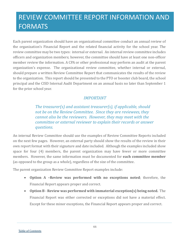Each parent organization should have an organizational committee conduct an annual review of the organization's Financial Report and the related financial activity for the school year. The review committee may be two types: internal or external. An internal review committee includes officers and organization members; however, the committee should have at least one non-officer member review the information. A CPA or other professional may perform an audit at the parent organization's expense. The organizational review committee, whether internal or external, should prepare a written Review Committee Report that communicates the results of the review to the organization. This report should be presented to the PTO or booster club board, the school principal and the CISD Internal Audit Department on an annual basis no later than September 1 for the prior school year.

### *IMPORTANT*

*The treasurer(s) and assistant treasurer(s), if applicable, should not be on the Review Committee. Since they are reviewees, they cannot also be the reviewers. However, they may meet with the committee or external reviewer to explain their records or answer questions.*

An internal Review Committee should use the examples of Review Committee Reports included on the next few pages. However, an external party should show the results of the review in their own report format with their signature and date included. Although the examples included show space for four (4) members, the parent organization may have fewer or more committee members. However, the same information must be documented for **each committee member** (as opposed to the group as a whole), regardless of the size of the committee.

The parent organization Review Committee Report examples include:

- **Option A –Review was performed with no exceptions noted**; therefore, the Financial Report appears proper and correct.
- **Option B - Review was performed with immaterial exception(s) being noted.** The Financial Report was either corrected or exceptions did not have a material effect. Except for these minor exceptions, the Financial Report appears proper and correct.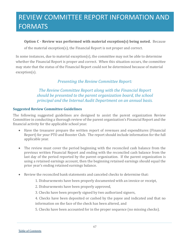### **Option C - Review was performed with material exception(s) being noted.** Because

of the material exception(s), the Financial Report is not proper and correct.

In some instances, due to material exception(s), the committee may not be able to determine whether the Financial Report is proper and correct. When this situation occurs, the committee may state that the status of the Financial Report could not be determined because of material exception(s).

### *Presenting the Review Committee Report:*

*The Review Committee Report along with the Financial Report should be presented to the parent organization board, the school principal and the Internal Audit Department on an annual basis.*

### **Suggested Review Committee Guidelines**

The following suggested guidelines are designed to assist the parent organization Review Committee in conducting a thorough review of the parent organization's Financial Report and the financial activity for the applicable school year.

- Have the treasurer prepare the written report of revenues and expenditures (Financial Report) for your PTO and Booster Club. The report should include information for the full applicable year.
- The review must cover the period beginning with the reconciled cash balance from the previous written Financial Report and ending with the reconciled cash balance from the last day of the period reported by the parent organization. If the parent organization is using a retained earnings account, then the beginning retained earnings should equal the prior year's ending retained earnings balance.
- Review the reconciled bank statements and canceled checks to determine that:
	- 1. Disbursements have been properly documented with an invoice or receipt,
	- 2. Disbursements have been properly approved,
	- 3. Checks have been properly signed by two authorized signers,
	- 4. Checks have been deposited or cashed by the payee and indicated and that no information on the face of the check has been altered, and
	- 5. Checks have been accounted for in the proper sequence (no missing checks).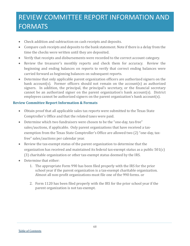- Check addition and subtraction on cash receipts and deposits.
- Compare cash receipts and deposits to the bank statement. Note if there is a delay from the time the checks were written until they are deposited.
- Verify that receipts and disbursements were recorded to the correct account category.
- Review the treasurer's monthly reports and check them for accuracy. Review the beginning and ending balances on reports to verify that correct ending balances were carried forward as beginning balances on subsequent reports.
- Determine that only applicable parent organization officers are authorized signers on the bank account(s). Former officers should not remain on the account(s) as authorized signers. In addition, the principal, the principal's secretary, or the financial secretary cannot be an authorized signer on the parent organization's bank account(s). District employees cannot be authorized signers on the parent organization's bank account(s).

### **Review Committee Report Information & Formats**

- Obtain proof that all applicable sales tax reports were submitted to the Texas State Comptroller's Office and that the related taxes were paid.
- Determine which two fundraisers were chosen to be the "one-day, tax-free" sales/auctions, if applicable. Only parent organizations that have received a taxexemption from the Texas State Comptroller's Office are allowed two (2) "one-day, taxfree" sales/auctions per calendar year.
- Review the tax-exempt status of the parent organization to determine that the organization has received and maintained its federal tax-exempt status as a public 501(c) (3) charitable organization or other tax-exempt status deemed by the IRS.
- Determine that either:
	- 1. The appropriate Form 990 has been filed properly with the IRS for the prior school year if the parent organization is a tax-exempt charitable organization. Almost all non-profit organizations must file one of the 990 forms. or
	- 2. Form 1120 has been filed properly with the IRS for the prior school year if the parent organization is not tax-exempt.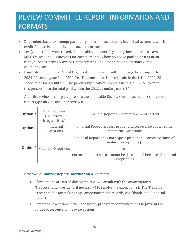- Determine that a tax-exempt parent organization has not used individual accounts, which credit funds raised to individual students or parents.
- Verify that 1099s were issued, if applicable. In general, you may have to issue a 1099- MISC (Miscellaneous Income) for each person to whom you have paid at least \$600 in rents, services, prizes & awards, attorney fees, and other similar situations within a calendar year.
- **Example**: Elementary Parent Organization hires a consultant during the spring of the 2021-22 school year for a \$300 fee. The consultant is hired again in the fall of 2022-23 school year for a \$300 fee. The parent organization should issue a 1099-MISC form to this person since the total paid within the 2022 calendar year is \$600.

After the review is complete, prepare the applicable Review Committee Report (only one report type may be used per review):

| Option A        | No Exceptions<br>(i.e., errors,<br>irregularities) | Financial Report appears proper and correct                                                      |
|-----------------|----------------------------------------------------|--------------------------------------------------------------------------------------------------|
| <b>Option B</b> | Immaterial<br>Exceptions                           | Financial Report appears proper and correct, except for some<br>immaterial exceptions            |
| Option C        | <b>Material Exceptions</b>                         | Financial Report does not appear proper and correct because of<br>material exception $(s)$<br>or |
|                 |                                                    | Financial Report status cannot be determined because of material<br>exception(s)                 |

### **Review Committee Report Information & Formats**

- If exceptions are noted during the review, consult with the organization's Treasurer and President (if necessary) to resolve the exception(s). The Treasurer is responsible for making any corrections to the records, checkbook, and Financial Report.
- If material exceptions have been noted, prepare recommendations to prevent the future occurrence of these exceptions.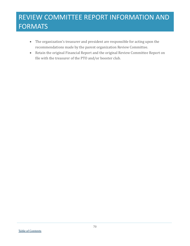- The organization's treasurer and president are responsible for acting upon the recommendations made by the parent organization Review Committee.
- Retain the original Financial Report and the original Review Committee Report on file with the treasurer of the PTO and/or booster club.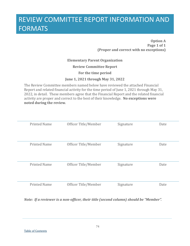**Option A Page 1 of 1 (Proper and correct with no exceptions)**

### **Elementary Parent Organization**

**Review Committee Report**

**For the time period**

#### **June 1, 2021 through May 31, 2022**

The Review Committee members named below have reviewed the attached Financial Report and related financial activity for the time period of June 1, 2021 through May 31, 2022, in detail. These members agree that the Financial Report and the related financial activity are proper and correct to the best of their knowledge. **No exceptions were noted during the review.**

| <b>Printed Name</b> | Officer Title/Member | Signature | Date |
|---------------------|----------------------|-----------|------|
| <b>Printed Name</b> | Officer Title/Member | Signature | Date |
| <b>Printed Name</b> | Officer Title/Member | Signature | Date |
| <b>Printed Name</b> | Officer Title/Member | Signature | Date |

*Note: If a reviewer is a non-officer, their title (second column) should be "Member".*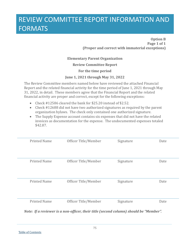**Option B Page 1 of 1 (Proper and correct with immaterial exceptions)**

### **Elementary Parent Organization**

**Review Committee Report**

**For the time period**

### **June 1, 2021 through May 31, 2022**

The Review Committee members named below have reviewed the attached Financial Report and the related financial activity for the time period of June 1, 2021 through May 31, 2022, in detail. These members agree that the Financial Report and the related financial activity are proper and correct, except for the following exceptions:

- Check #12586 cleared the bank for \$25.20 instead of \$2.52.
- Check #12688 did not have two authorized signatures as required by the parent organization bylaws. The check only contained one authorized signature.
- The Supply Expense account contains six expenses that did not have the related invoices as documentation for the expense. The undocumented expenses totaled \$42.87.

| <b>Printed Name</b> | Officer Title/Member | Signature | Date |
|---------------------|----------------------|-----------|------|
| <b>Printed Name</b> | Officer Title/Member | Signature | Date |
| <b>Printed Name</b> | Officer Title/Member | Signature | Date |
| <b>Printed Name</b> | Officer Title/Member | Signature | Date |

*Note: If a reviewer is a non-officer, their title (second column) should be "Member".*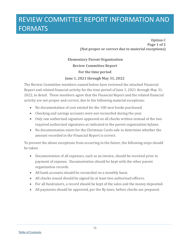# REVIEW COMMITTEE REPORT INFORMATION AND FORMATS

**Option C Page 1 of 2 (Not proper or correct due to material exceptions)**

**Elementary Parent Organization Review Committee Report For the time period June 1, 2021 through May 31, 2022**

The Review Committee members named below have reviewed the attached Financial Report and related financial activity for the time period of June 1, 2021 through May 31, 2022, in detail. These members agree that the Financial Report and the related financial activity are not proper and correct, due to the following material exceptions:

- No documentation of cost existed for the 100 new books purchased.
- Checking and savings accounts were not reconciled during the year.
- Only one authorized signature appeared on all checks written instead of the two required authorized signatures as indicated in the parent organization bylaws.
- No documentation exists for the Christmas Cards sale to determine whether the amount recorded in the Financial Report is correct.

To prevent the above exceptions from occurring in the future, the following steps should be taken:

- Documentation of all expenses, such as an invoice, should be received prior to payment of expense. Documentation should be kept with the other parent organization records.
- All bank accounts should be reconciled on a monthly basis.
- All checks issued should be signed by at least two authorized officers.
- For all fundraisers, a record should be kept of the sales and the money deposited.
- All payments should be approved, per the By-laws, before checks are prepared.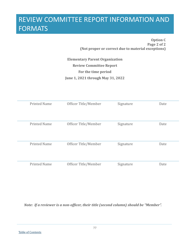# REVIEW COMMITTEE REPORT INFORMATION AND **FORMATS**

**Option C Page 2 of 2 (Not proper or correct due to material exceptions)**

**Elementary Parent Organization Review Committee Report For the time period June 1, 2021 through May 31, 2022**

| <b>Printed Name</b> | Officer Title/Member | Signature | Date |
|---------------------|----------------------|-----------|------|
| <b>Printed Name</b> | Officer Title/Member | Signature | Date |
| <b>Printed Name</b> | Officer Title/Member | Signature | Date |
| <b>Printed Name</b> | Officer Title/Member | Signature | Date |

*Note: If a reviewer is a non-officer, their title (second column) should be "Member".*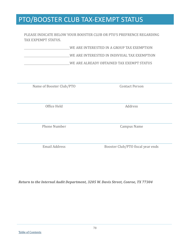## PTO/BOOSTER CLUB TAX-EXEMPT STATUS

PLEASE INDICATE BELOW YOUR BOOSTER CLUB OR PTO'S PREFRENCE REGARDING TAX EXPEMPT STATUS.

WE ARE INTERESTED IN A GROUP TAX EXEMPTION

WE ARE INTERESTED IN INDIVIUAL TAX EXEMPTION

WE ARE ALREADY OBTAINED TAX EXEMPT STATUS

Name of Booster Club/PTO Contact Person

Office Held Address

Phone Number Campus Name

Email Address Booster Club/PTO fiscal year ends

*Return to the Internal Audit Department, 3205 W. Davis Street, Conroe, TX 77304*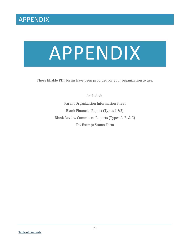# APPENDIX

These fillable PDF forms have been provided for your organization to use.

Included: Parent Organization Information Sheet Blank Financial Report (Types 1 &2) Blank Review Committee Reports (Types A, B, & C) Tax Exempt Status Form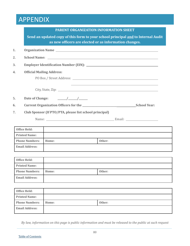|                  | PARENT ORGANIZATION INFORMATION SHEET                  |                                                                                  |                                                         |        |  |
|------------------|--------------------------------------------------------|----------------------------------------------------------------------------------|---------------------------------------------------------|--------|--|
|                  |                                                        | Send an updated copy of this form to your school principal and to Internal Audit |                                                         |        |  |
|                  | as new officers are elected or as information changes. |                                                                                  |                                                         |        |  |
| 1.               |                                                        |                                                                                  |                                                         |        |  |
| $\overline{2}$ . |                                                        |                                                                                  |                                                         |        |  |
| 3.               |                                                        |                                                                                  |                                                         |        |  |
| 4.               |                                                        | <b>Official Mailing Address:</b>                                                 |                                                         |        |  |
|                  |                                                        |                                                                                  |                                                         |        |  |
|                  |                                                        |                                                                                  |                                                         |        |  |
|                  |                                                        |                                                                                  |                                                         |        |  |
| 5.               |                                                        |                                                                                  |                                                         |        |  |
| 6.               |                                                        |                                                                                  |                                                         |        |  |
| 7.               |                                                        |                                                                                  | Club Sponsor (If PTO/PTA, please list school principal) |        |  |
|                  |                                                        |                                                                                  |                                                         |        |  |
|                  |                                                        | <b>Office Held:</b>                                                              |                                                         |        |  |
|                  |                                                        | <b>Printed Name:</b>                                                             |                                                         |        |  |
|                  |                                                        | <b>Phone Numbers:</b>                                                            | Home:                                                   | Other: |  |
|                  |                                                        | <b>Email Address:</b>                                                            |                                                         |        |  |
|                  |                                                        |                                                                                  |                                                         |        |  |
|                  |                                                        | <b>Office Held:</b>                                                              |                                                         |        |  |
|                  |                                                        | <b>Printed Name:</b>                                                             |                                                         |        |  |
|                  |                                                        | <b>Phone Numbers:</b>                                                            | Home:                                                   | Other: |  |
|                  |                                                        | <b>Email Address:</b>                                                            |                                                         |        |  |
|                  |                                                        |                                                                                  |                                                         |        |  |
|                  |                                                        | <b>Office Held:</b>                                                              |                                                         |        |  |
|                  |                                                        | <b>Printed Name:</b>                                                             |                                                         |        |  |
|                  | <b>Phone Numbers:</b><br>Other:<br>Home:               |                                                                                  |                                                         |        |  |
|                  |                                                        | <b>Email Address:</b>                                                            |                                                         |        |  |

*By law, information on this page is public information and must be released to the public at such request*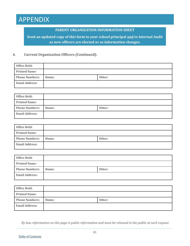#### **PARENT ORGANIZATION INFORMATION SHEET**

**Send an updated copy of this form to your school principal and to Internal Audit as new officers are elected or as information changes.**

#### **8. Current Organization Officers (Continued):**

| Office Held:          |       |        |
|-----------------------|-------|--------|
| <b>Printed Name:</b>  |       |        |
| <b>Phone Numbers:</b> | Home: | Other: |
| <b>Email Address:</b> |       |        |

| Office Held:          |       |        |
|-----------------------|-------|--------|
| <b>Printed Name:</b>  |       |        |
| <b>Phone Numbers:</b> | Home: | Other: |
| <b>Email Address:</b> |       |        |

| Office Held:          |       |        |
|-----------------------|-------|--------|
| <b>Printed Name:</b>  |       |        |
| <b>Phone Numbers:</b> | Home: | Other: |
| <b>Email Address:</b> |       |        |

| <b>Office Held:</b>   |       |        |
|-----------------------|-------|--------|
| <b>Printed Name:</b>  |       |        |
| <b>Phone Numbers:</b> | Home: | Other: |
| <b>Email Address:</b> |       |        |

| Office Held:          |       |        |
|-----------------------|-------|--------|
| <b>Printed Name:</b>  |       |        |
| <b>Phone Numbers:</b> | Home: | Other: |
| <b>Email Address:</b> |       |        |

*By law, information on this page is public information and must be released to the public at such request*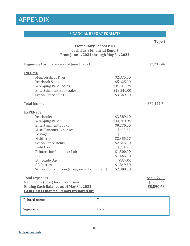#### **FINANCIAL REPORT FORMATS**

**Type 1**

#### **Elementary School PTO Cash Basis Financial Report From June 1, 2021 through May 31, 2022**

Beginning Cash Balance as of June 1, 2021 \$2,235.46 **INCOME** Memberships Dues \$2,875.00 Yearbook Sales<br>
Wrapping Paper Sales<br>
\$19,502.25<br>
\$19,502.25 Wrapping Paper Sales<br>Entertainment Book Sales \$19,540.00 Entertainment Book Sales \$19,540.00<br>School Store Sales \$3,569.50 School Store Sales Total Income \$51,111.7 **EXPENSES** Yearbooks \$3,589.10<br>Wrapping Paper \$11,701.35 Wrapping Paper \$11,701.35<br>Entertainment Books \$9,770.00 Entertainment Books \$9,770.00 Miscellaneous Expenses<br>Postage \$356.29 Postage  $\sim$  \$356.29 Field Trips  $$2,355.77$ <br>School Store Items  $$2,645.00$ School Store Items \$2,645.00<br>Field Dav \$684.75 Field Day \$684.75 Printers for Computer Lab  $$1,500.00$ <br>D.A.R.E.  $$1,465.00$ D.A.R.E.  $$1,465.00$ 5th Grade Day \$889.00<br>AR Parties \$1.849.50  $$1,849.50$ <br> $$7,000.00$ School Contribution (Playground Equipment) Total Expenses<br>Net Income (Loss) for Current Year (1990) and the settlement of the settlement of the settlement of the settlement of the settlement of the settlement of the settlement of the settlement of the settlement of Net Income (Loss) for Current Year \$6,655.22<br> **Ending Cash Balance as of May 31, 2022** \$8,890.68 **Ending Cash Balance as of May 31, 2022 Cash Basis Financial Report prepared by:** Printed name: Title: Signature: Date: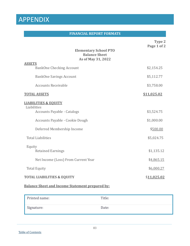#### **FINANCIAL REPORT FORMATS**

|                                                                                      | Type 2<br>Page 1 of 2  |
|--------------------------------------------------------------------------------------|------------------------|
| <b>Elementary School PTO</b><br><b>Balance Sheet</b><br>As of May 31, 2022           |                        |
| <b>ASSETS</b><br><b>BankOne Checking Account</b>                                     | \$2,154.25             |
| <b>BankOne Savings Account</b>                                                       | \$5,112.77             |
| <b>Accounts Receivable</b>                                                           | \$3,758.00             |
| <b>TOTAL ASSETS</b>                                                                  | <u>\$11,025.02</u>     |
| <b>LIABILITIES &amp; EOUITY</b><br>Liabilities<br><b>Accounts Payable - Catalogs</b> | \$3,524.75             |
| Accounts Payable - Cookie Dough<br>Deferred Membership Income                        | \$1,000.00<br>\$500.00 |
| <b>Total Liabilities</b>                                                             | \$5,024.75             |
| Equity<br><b>Retained Earnings</b>                                                   | \$1,135.12             |
| Net Income (Loss) From Current Year                                                  | \$4,865.15             |
| <b>Total Equity</b>                                                                  | \$6,000.27             |
| <b>TOTAL LIABILITIES &amp; EQUITY</b>                                                | \$11,025.02            |

## **Balance Sheet and Income Statement prepared by:**

| Printed name: | Title: |
|---------------|--------|
| Signature:    | Date:  |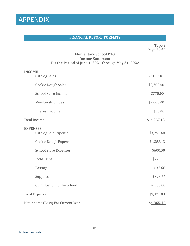#### **FINANCIAL REPORT FORMATS**

**Type 2 Page 2 of 2**

### **Elementary School PTO Income Statement For the Period of June 1, 2021 through May 31, 2022**

| <b>INCOME</b>                      |             |
|------------------------------------|-------------|
| <b>Catalog Sales</b>               | \$9,129.18  |
| <b>Cookie Dough Sales</b>          | \$2,300.00  |
| <b>School Store Income</b>         | \$770.00    |
| <b>Membership Dues</b>             | \$2,000.00  |
| <b>Interest Income</b>             | \$38.00     |
| <b>Total Income</b>                | \$14,237.18 |
| <b>EXPENSES</b>                    |             |
| <b>Catalog Sale Expense</b>        | \$3,752.68  |
| <b>Cookie Dough Expense</b>        | \$1,388.13  |
| <b>School Store Expenses</b>       | \$600.00    |
| <b>Field Trips</b>                 | \$770.00    |
| Postage                            | \$32.66     |
| Supplies                           | \$328.56    |
| Contribution to the School         | \$2,500.00  |
| <b>Total Expenses</b>              | \$9,372.03  |
| Net Income (Loss) For Current Year | \$4,865.15  |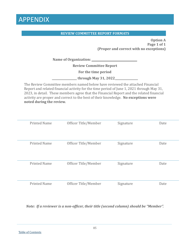#### **REVIEW COMMITTEE REPORT FORMATS**

**Option A Page 1 of 1 (Proper and correct with no exceptions)**

**Name of Organization: \_\_\_\_\_\_\_\_\_\_\_\_\_\_\_\_\_\_\_\_\_\_\_\_\_\_\_\_\_\_\_\_\_**

**Review Committee Report**

**For the time period**

\_\_\_\_\_\_\_\_\_\_\_\_\_\_\_\_\_\_ **through May 31, 2022 \_\_\_\_\_\_\_\_\_\_\_\_\_\_\_\_**

The Review Committee members named below have reviewed the attached Financial Report and related financial activity for the time period of June 1, 2021 through May 31, 2023, in detail. These members agree that the Financial Report and the related financial activity are proper and correct to the best of their knowledge. **No exceptions were noted during the review.**

| <b>Printed Name</b> | Officer Title/Member | Signature | Date |
|---------------------|----------------------|-----------|------|
| <b>Printed Name</b> | Officer Title/Member | Signature | Date |
| <b>Printed Name</b> | Officer Title/Member | Signature | Date |
| <b>Printed Name</b> | Officer Title/Member | Signature | Date |

*Note: If a reviewer is a non-officer, their title (second column) should be "Member".*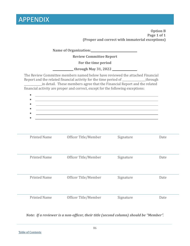| <b>Option B</b><br>Page 1 of 1<br>(Proper and correct with immaterial exceptions) |                                                                                                                                                                                                                                                                                                                                      |           |      |
|-----------------------------------------------------------------------------------|--------------------------------------------------------------------------------------------------------------------------------------------------------------------------------------------------------------------------------------------------------------------------------------------------------------------------------------|-----------|------|
|                                                                                   | Name of Organization: Name of Organization:                                                                                                                                                                                                                                                                                          |           |      |
|                                                                                   | <b>Review Committee Report</b>                                                                                                                                                                                                                                                                                                       |           |      |
|                                                                                   | For the time period                                                                                                                                                                                                                                                                                                                  |           |      |
|                                                                                   | $_k$ through May 31, 2022 $\frac{1}{2}$                                                                                                                                                                                                                                                                                              |           |      |
|                                                                                   | The Review Committee members named below have reviewed the attached Financial<br>Report and the related financial activity for the time period of ____________through<br>in detail. These members agree that the Financial Report and the related<br>financial activity are proper and correct, except for the following exceptions: |           |      |
|                                                                                   | and the control of the control of the control of the control of the control of the control of the control of the<br>,我们也不会有什么。""我们的人,我们也不会有什么?""我们的人,我们也不会有什么?""我们的人,我们的人,我们的人,我们的人,我们的人,我们的人,我们的人,我<br>and the control of the control of the control of the control of the control of the control of the control of the             |           |      |
|                                                                                   | <u> 1989 - Johann Stoff, amerikansk politiker (* 1908)</u>                                                                                                                                                                                                                                                                           |           |      |
|                                                                                   | and the control of the control of the control of the control of the control of the control of the control of the                                                                                                                                                                                                                     |           |      |
| <b>Printed Name</b>                                                               | Officer Title/Member                                                                                                                                                                                                                                                                                                                 | Signature | Date |
| <b>Printed Name</b>                                                               | Officer Title/Member                                                                                                                                                                                                                                                                                                                 | Signature | Date |
|                                                                                   |                                                                                                                                                                                                                                                                                                                                      |           |      |
| <b>Printed Name</b>                                                               | Officer Title/Member                                                                                                                                                                                                                                                                                                                 | Signature | Date |
| <b>Printed Name</b>                                                               | Officer Title/Member                                                                                                                                                                                                                                                                                                                 | Signature | Date |

*Note: If a reviewer is a non-officer, their title (second column) should be "Member".*

 $\overline{\phantom{0}}$ 

 $\overline{\phantom{a}}$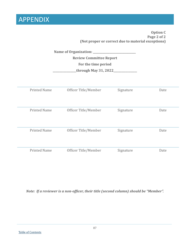|                     | <b>Review Committee Report</b><br>For the time period<br>through May 31, 2022____ | (Not proper or correct due to material exceptions) | <b>Option C</b><br>Page 2 of 2 |
|---------------------|-----------------------------------------------------------------------------------|----------------------------------------------------|--------------------------------|
| <b>Printed Name</b> | Officer Title/Member                                                              | Signature                                          | Date                           |
| <b>Printed Name</b> | Officer Title/Member                                                              | Signature                                          | Date                           |
| <b>Printed Name</b> | Officer Title/Member                                                              | Signature                                          | Date                           |
| <b>Printed Name</b> | Officer Title/Member                                                              | Signature                                          | Date                           |

*Note: If a reviewer is a non-officer, their title (second column) should be "Member".*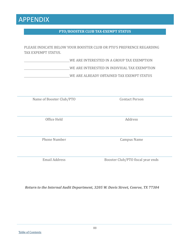#### [Table of Contents](#page-1-0)

## PLEASE INDICATE BELOW YOUR BOOSTER CLUB OR PTO'S PREFRENCE REGARDING

**PTO/BOOSTER CLUB TAX-EXEMPT STATUS**

TAX EXPEMPT STATUS.

WE ARE INTERESTED IN A GROUP TAX EXEMPTION

WE ARE INTERESTED IN INDIVIUAL TAX EXEMPTION

WE ARE ALREADY OBTAINED TAX EXEMPT STATUS

Name of Booster Club/PTO Contact Person

Office Held Address

Phone Number Campus Name

Email Address Booster Club/PTO fiscal year ends

*Return to the Internal Audit Department, 3205 W. Davis Street, Conroe, TX 77304*

88

## APPENDIX